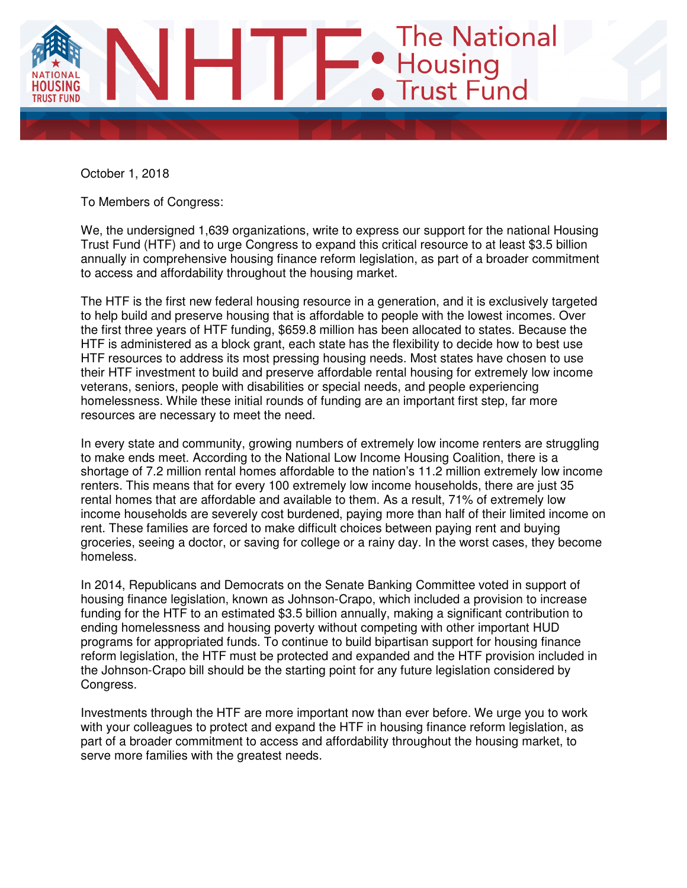

October 1, 2018

To Members of Congress:

We, the undersigned 1,639 organizations, write to express our support for the national Housing Trust Fund (HTF) and to urge Congress to expand this critical resource to at least \$3.5 billion annually in comprehensive housing finance reform legislation, as part of a broader commitment to access and affordability throughout the housing market.

The HTF is the first new federal housing resource in a generation, and it is exclusively targeted to help build and preserve housing that is affordable to people with the lowest incomes. Over the first three years of HTF funding, \$659.8 million has been allocated to states. Because the HTF is administered as a block grant, each state has the flexibility to decide how to best use HTF resources to address its most pressing housing needs. Most states have chosen to use their HTF investment to build and preserve affordable rental housing for extremely low income veterans, seniors, people with disabilities or special needs, and people experiencing homelessness. While these initial rounds of funding are an important first step, far more resources are necessary to meet the need.

In every state and community, growing numbers of extremely low income renters are struggling to make ends meet. According to the National Low Income Housing Coalition, there is a shortage of 7.2 million rental homes affordable to the nation's 11.2 million extremely low income renters. This means that for every 100 extremely low income households, there are just 35 rental homes that are affordable and available to them. As a result, 71% of extremely low income households are severely cost burdened, paying more than half of their limited income on rent. These families are forced to make difficult choices between paying rent and buying groceries, seeing a doctor, or saving for college or a rainy day. In the worst cases, they become homeless.

In 2014, Republicans and Democrats on the Senate Banking Committee voted in support of housing finance legislation, known as Johnson-Crapo, which included a provision to increase funding for the HTF to an estimated \$3.5 billion annually, making a significant contribution to ending homelessness and housing poverty without competing with other important HUD programs for appropriated funds. To continue to build bipartisan support for housing finance reform legislation, the HTF must be protected and expanded and the HTF provision included in the Johnson-Crapo bill should be the starting point for any future legislation considered by Congress.

Investments through the HTF are more important now than ever before. We urge you to work with your colleagues to protect and expand the HTF in housing finance reform legislation, as part of a broader commitment to access and affordability throughout the housing market, to serve more families with the greatest needs.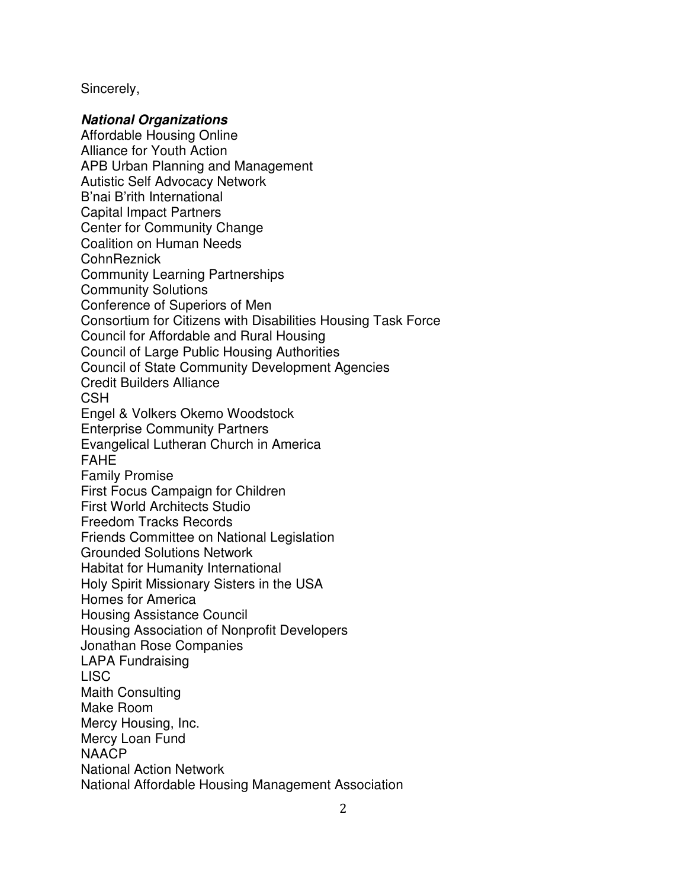Sincerely,

#### **National Organizations**

Affordable Housing Online Alliance for Youth Action APB Urban Planning and Management Autistic Self Advocacy Network B'nai B'rith International Capital Impact Partners Center for Community Change Coalition on Human Needs **CohnReznick** Community Learning Partnerships Community Solutions Conference of Superiors of Men Consortium for Citizens with Disabilities Housing Task Force Council for Affordable and Rural Housing Council of Large Public Housing Authorities Council of State Community Development Agencies Credit Builders Alliance **CSH** Engel & Volkers Okemo Woodstock Enterprise Community Partners Evangelical Lutheran Church in America FAHE Family Promise First Focus Campaign for Children First World Architects Studio Freedom Tracks Records Friends Committee on National Legislation Grounded Solutions Network Habitat for Humanity International Holy Spirit Missionary Sisters in the USA Homes for America Housing Assistance Council Housing Association of Nonprofit Developers Jonathan Rose Companies LAPA Fundraising LISC Maith Consulting Make Room Mercy Housing, Inc. Mercy Loan Fund NAACP National Action Network National Affordable Housing Management Association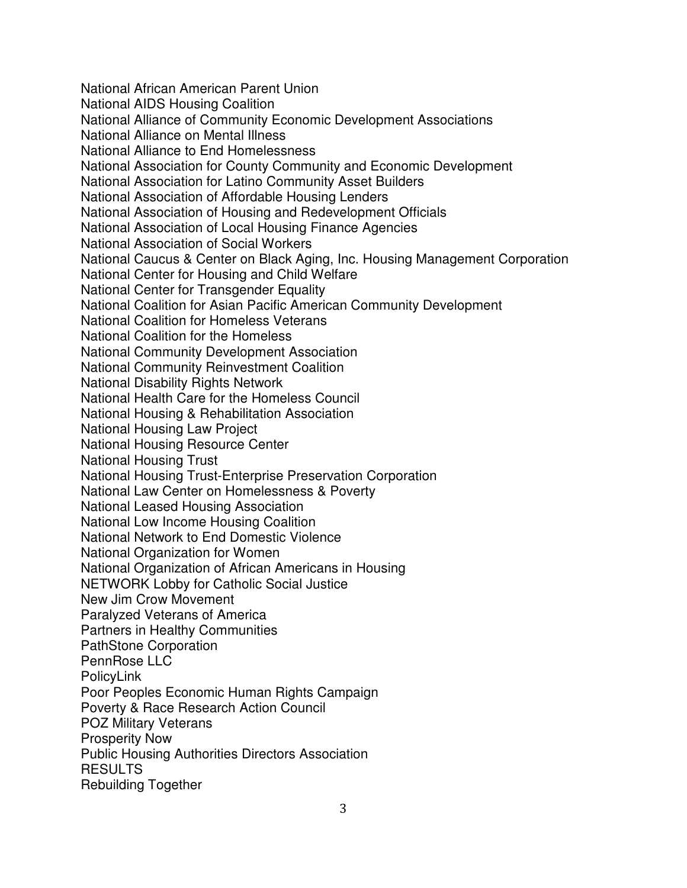National African American Parent Union National AIDS Housing Coalition National Alliance of Community Economic Development Associations National Alliance on Mental Illness National Alliance to End Homelessness National Association for County Community and Economic Development National Association for Latino Community Asset Builders National Association of Affordable Housing Lenders National Association of Housing and Redevelopment Officials National Association of Local Housing Finance Agencies National Association of Social Workers National Caucus & Center on Black Aging, Inc. Housing Management Corporation National Center for Housing and Child Welfare National Center for Transgender Equality National Coalition for Asian Pacific American Community Development National Coalition for Homeless Veterans National Coalition for the Homeless National Community Development Association National Community Reinvestment Coalition National Disability Rights Network National Health Care for the Homeless Council National Housing & Rehabilitation Association National Housing Law Project National Housing Resource Center National Housing Trust National Housing Trust-Enterprise Preservation Corporation National Law Center on Homelessness & Poverty National Leased Housing Association National Low Income Housing Coalition National Network to End Domestic Violence National Organization for Women National Organization of African Americans in Housing NETWORK Lobby for Catholic Social Justice New Jim Crow Movement Paralyzed Veterans of America Partners in Healthy Communities PathStone Corporation PennRose LLC **PolicyLink** Poor Peoples Economic Human Rights Campaign Poverty & Race Research Action Council POZ Military Veterans Prosperity Now Public Housing Authorities Directors Association RESULTS Rebuilding Together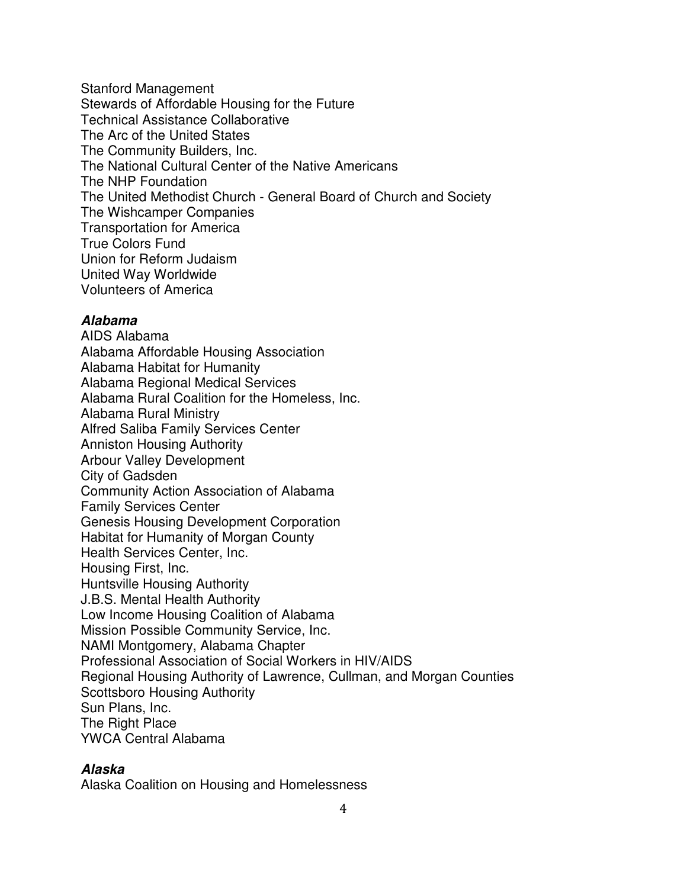Stanford Management Stewards of Affordable Housing for the Future Technical Assistance Collaborative The Arc of the United States The Community Builders, Inc. The National Cultural Center of the Native Americans The NHP Foundation The United Methodist Church - General Board of Church and Society The Wishcamper Companies Transportation for America True Colors Fund Union for Reform Judaism United Way Worldwide Volunteers of America

#### **Alabama**

AIDS Alabama Alabama Affordable Housing Association Alabama Habitat for Humanity Alabama Regional Medical Services Alabama Rural Coalition for the Homeless, Inc. Alabama Rural Ministry Alfred Saliba Family Services Center Anniston Housing Authority Arbour Valley Development City of Gadsden Community Action Association of Alabama Family Services Center Genesis Housing Development Corporation Habitat for Humanity of Morgan County Health Services Center, Inc. Housing First, Inc. Huntsville Housing Authority J.B.S. Mental Health Authority Low Income Housing Coalition of Alabama Mission Possible Community Service, Inc. NAMI Montgomery, Alabama Chapter Professional Association of Social Workers in HIV/AIDS Regional Housing Authority of Lawrence, Cullman, and Morgan Counties Scottsboro Housing Authority Sun Plans, Inc. The Right Place YWCA Central Alabama

#### **Alaska**

Alaska Coalition on Housing and Homelessness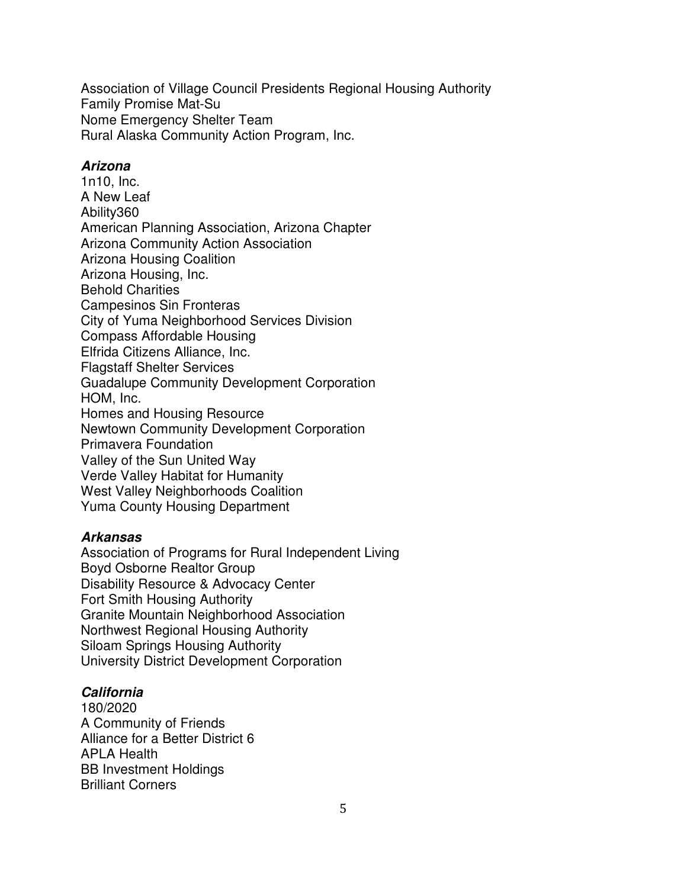Association of Village Council Presidents Regional Housing Authority Family Promise Mat-Su Nome Emergency Shelter Team Rural Alaska Community Action Program, Inc.

# **Arizona**

1n10, Inc. A New Leaf Ability360 American Planning Association, Arizona Chapter Arizona Community Action Association Arizona Housing Coalition Arizona Housing, Inc. Behold Charities Campesinos Sin Fronteras City of Yuma Neighborhood Services Division Compass Affordable Housing Elfrida Citizens Alliance, Inc. Flagstaff Shelter Services Guadalupe Community Development Corporation HOM, Inc. Homes and Housing Resource Newtown Community Development Corporation Primavera Foundation Valley of the Sun United Way Verde Valley Habitat for Humanity West Valley Neighborhoods Coalition Yuma County Housing Department

## **Arkansas**

Association of Programs for Rural Independent Living Boyd Osborne Realtor Group Disability Resource & Advocacy Center Fort Smith Housing Authority Granite Mountain Neighborhood Association Northwest Regional Housing Authority Siloam Springs Housing Authority University District Development Corporation

## **California**

180/2020 A Community of Friends Alliance for a Better District 6 APLA Health BB Investment Holdings Brilliant Corners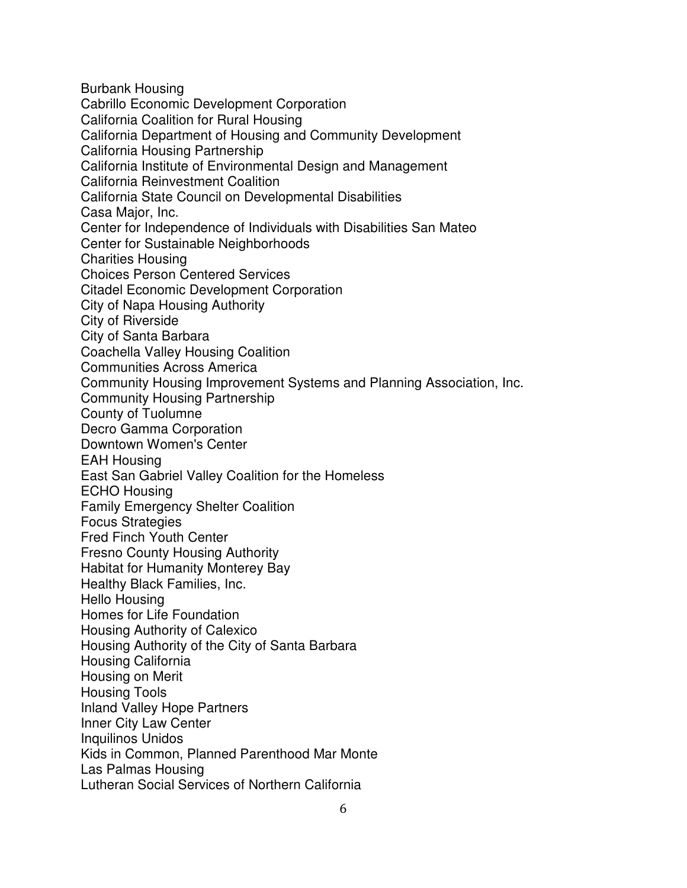Burbank Housing Cabrillo Economic Development Corporation California Coalition for Rural Housing California Department of Housing and Community Development California Housing Partnership California Institute of Environmental Design and Management California Reinvestment Coalition California State Council on Developmental Disabilities Casa Major, Inc. Center for Independence of Individuals with Disabilities San Mateo Center for Sustainable Neighborhoods Charities Housing Choices Person Centered Services Citadel Economic Development Corporation City of Napa Housing Authority City of Riverside City of Santa Barbara Coachella Valley Housing Coalition Communities Across America Community Housing Improvement Systems and Planning Association, Inc. Community Housing Partnership County of Tuolumne Decro Gamma Corporation Downtown Women's Center EAH Housing East San Gabriel Valley Coalition for the Homeless ECHO Housing Family Emergency Shelter Coalition Focus Strategies Fred Finch Youth Center Fresno County Housing Authority Habitat for Humanity Monterey Bay Healthy Black Families, Inc. Hello Housing Homes for Life Foundation Housing Authority of Calexico Housing Authority of the City of Santa Barbara Housing California Housing on Merit Housing Tools Inland Valley Hope Partners Inner City Law Center Inquilinos Unidos Kids in Common, Planned Parenthood Mar Monte Las Palmas Housing Lutheran Social Services of Northern California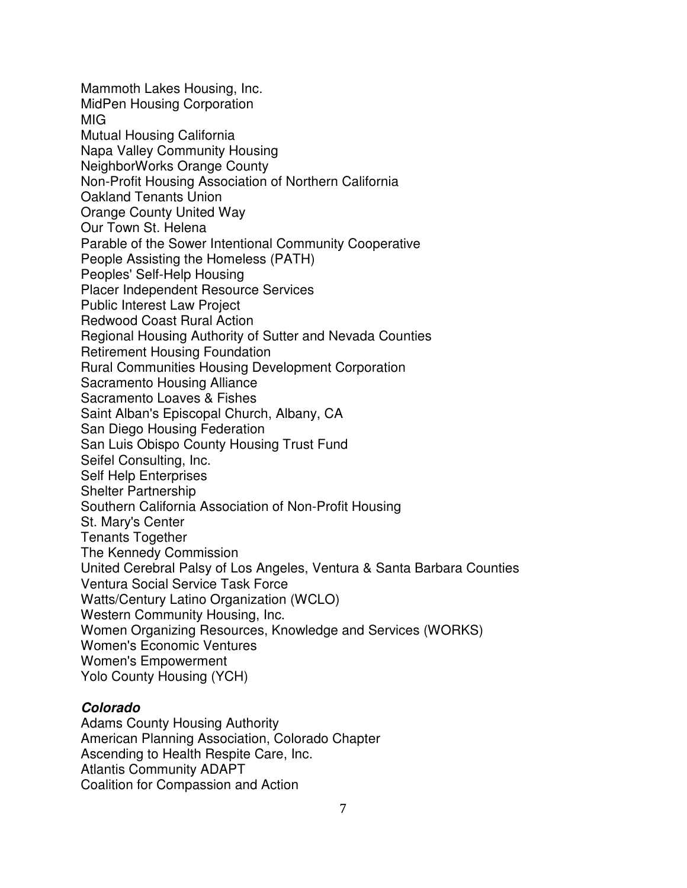Mammoth Lakes Housing, Inc. MidPen Housing Corporation MIG Mutual Housing California Napa Valley Community Housing NeighborWorks Orange County Non-Profit Housing Association of Northern California Oakland Tenants Union Orange County United Way Our Town St. Helena Parable of the Sower Intentional Community Cooperative People Assisting the Homeless (PATH) Peoples' Self-Help Housing Placer Independent Resource Services Public Interest Law Project Redwood Coast Rural Action Regional Housing Authority of Sutter and Nevada Counties Retirement Housing Foundation Rural Communities Housing Development Corporation Sacramento Housing Alliance Sacramento Loaves & Fishes Saint Alban's Episcopal Church, Albany, CA San Diego Housing Federation San Luis Obispo County Housing Trust Fund Seifel Consulting, Inc. Self Help Enterprises Shelter Partnership Southern California Association of Non-Profit Housing St. Mary's Center Tenants Together The Kennedy Commission United Cerebral Palsy of Los Angeles, Ventura & Santa Barbara Counties Ventura Social Service Task Force Watts/Century Latino Organization (WCLO) Western Community Housing, Inc. Women Organizing Resources, Knowledge and Services (WORKS) Women's Economic Ventures Women's Empowerment Yolo County Housing (YCH)

## **Colorado**

Adams County Housing Authority American Planning Association, Colorado Chapter Ascending to Health Respite Care, Inc. Atlantis Community ADAPT Coalition for Compassion and Action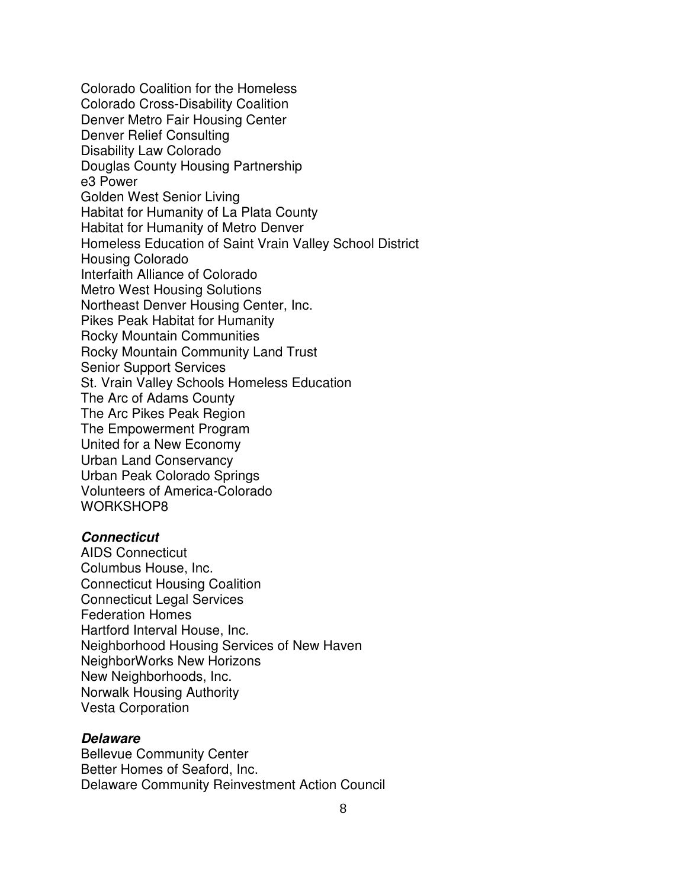Colorado Coalition for the Homeless Colorado Cross-Disability Coalition Denver Metro Fair Housing Center Denver Relief Consulting Disability Law Colorado Douglas County Housing Partnership e3 Power Golden West Senior Living Habitat for Humanity of La Plata County Habitat for Humanity of Metro Denver Homeless Education of Saint Vrain Valley School District Housing Colorado Interfaith Alliance of Colorado Metro West Housing Solutions Northeast Denver Housing Center, Inc. Pikes Peak Habitat for Humanity Rocky Mountain Communities Rocky Mountain Community Land Trust Senior Support Services St. Vrain Valley Schools Homeless Education The Arc of Adams County The Arc Pikes Peak Region The Empowerment Program United for a New Economy Urban Land Conservancy Urban Peak Colorado Springs Volunteers of America-Colorado WORKSHOP8

#### **Connecticut**

AIDS Connecticut Columbus House, Inc. Connecticut Housing Coalition Connecticut Legal Services Federation Homes Hartford Interval House, Inc. Neighborhood Housing Services of New Haven NeighborWorks New Horizons New Neighborhoods, Inc. Norwalk Housing Authority Vesta Corporation

#### **Delaware**

Bellevue Community Center Better Homes of Seaford, Inc. Delaware Community Reinvestment Action Council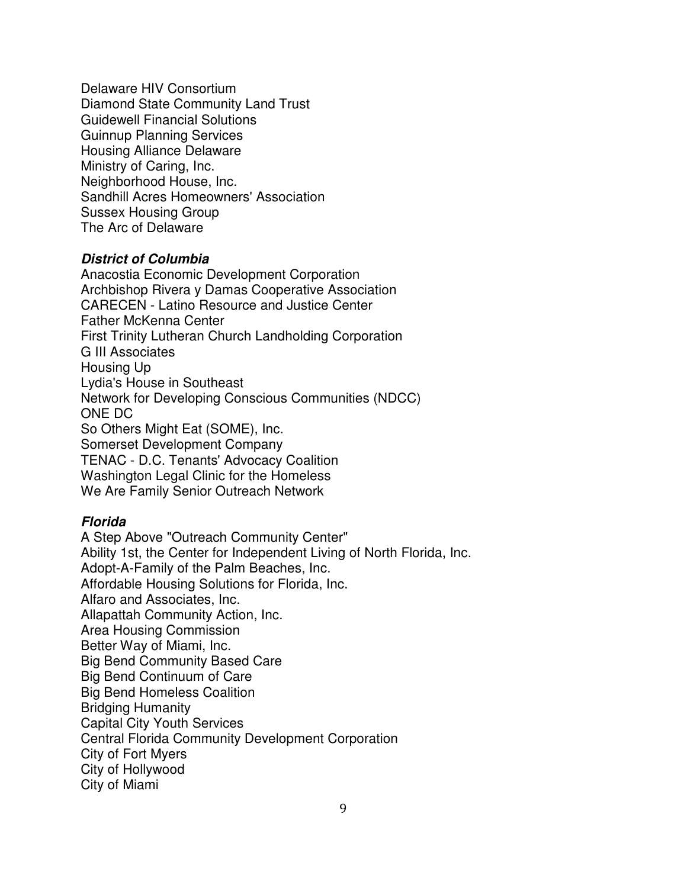Delaware HIV Consortium Diamond State Community Land Trust Guidewell Financial Solutions Guinnup Planning Services Housing Alliance Delaware Ministry of Caring, Inc. Neighborhood House, Inc. Sandhill Acres Homeowners' Association Sussex Housing Group The Arc of Delaware

#### **District of Columbia**

Anacostia Economic Development Corporation Archbishop Rivera y Damas Cooperative Association CARECEN - Latino Resource and Justice Center Father McKenna Center First Trinity Lutheran Church Landholding Corporation G III Associates Housing Up Lydia's House in Southeast Network for Developing Conscious Communities (NDCC) ONE DC So Others Might Eat (SOME), Inc. Somerset Development Company TENAC - D.C. Tenants' Advocacy Coalition Washington Legal Clinic for the Homeless We Are Family Senior Outreach Network

#### **Florida**

A Step Above "Outreach Community Center" Ability 1st, the Center for Independent Living of North Florida, Inc. Adopt-A-Family of the Palm Beaches, Inc. Affordable Housing Solutions for Florida, Inc. Alfaro and Associates, Inc. Allapattah Community Action, Inc. Area Housing Commission Better Way of Miami, Inc. Big Bend Community Based Care Big Bend Continuum of Care Big Bend Homeless Coalition Bridging Humanity Capital City Youth Services Central Florida Community Development Corporation City of Fort Myers City of Hollywood City of Miami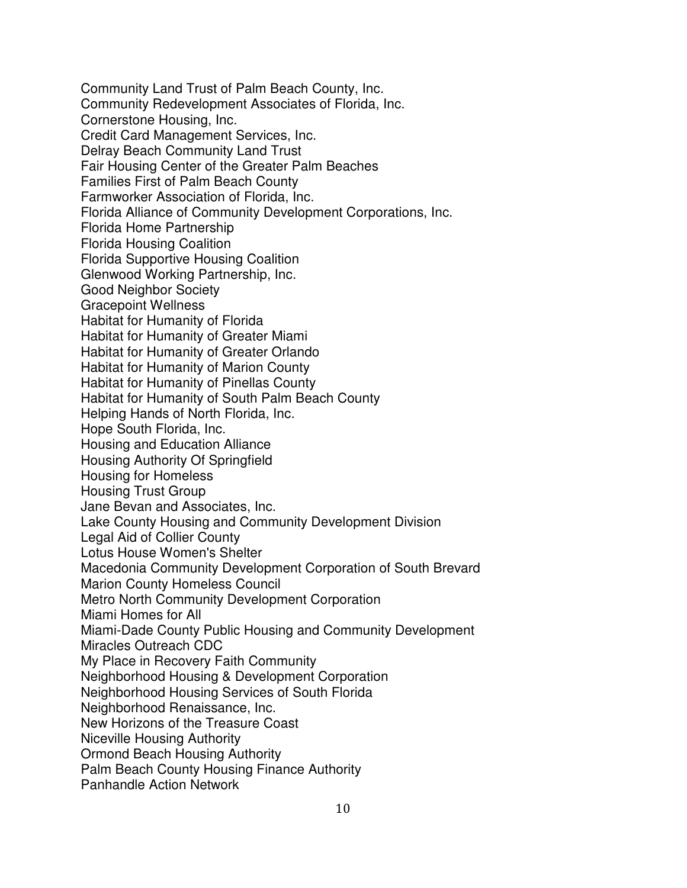Community Land Trust of Palm Beach County, Inc. Community Redevelopment Associates of Florida, Inc. Cornerstone Housing, Inc. Credit Card Management Services, Inc. Delray Beach Community Land Trust Fair Housing Center of the Greater Palm Beaches Families First of Palm Beach County Farmworker Association of Florida, Inc. Florida Alliance of Community Development Corporations, Inc. Florida Home Partnership Florida Housing Coalition Florida Supportive Housing Coalition Glenwood Working Partnership, Inc. Good Neighbor Society Gracepoint Wellness Habitat for Humanity of Florida Habitat for Humanity of Greater Miami Habitat for Humanity of Greater Orlando Habitat for Humanity of Marion County Habitat for Humanity of Pinellas County Habitat for Humanity of South Palm Beach County Helping Hands of North Florida, Inc. Hope South Florida, Inc. Housing and Education Alliance Housing Authority Of Springfield Housing for Homeless Housing Trust Group Jane Bevan and Associates, Inc. Lake County Housing and Community Development Division Legal Aid of Collier County Lotus House Women's Shelter Macedonia Community Development Corporation of South Brevard Marion County Homeless Council Metro North Community Development Corporation Miami Homes for All Miami-Dade County Public Housing and Community Development Miracles Outreach CDC My Place in Recovery Faith Community Neighborhood Housing & Development Corporation Neighborhood Housing Services of South Florida Neighborhood Renaissance, Inc. New Horizons of the Treasure Coast Niceville Housing Authority Ormond Beach Housing Authority Palm Beach County Housing Finance Authority Panhandle Action Network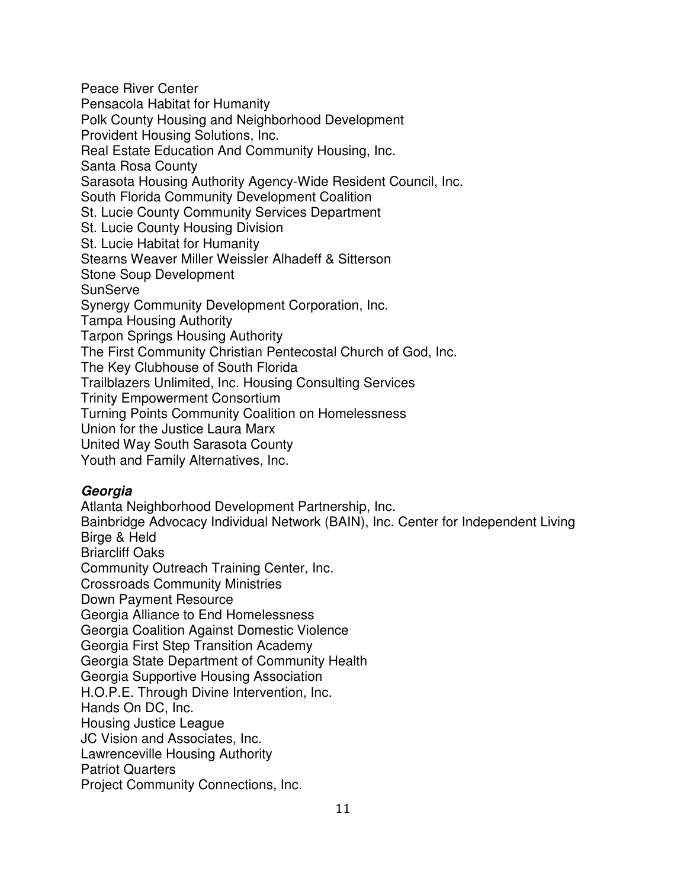Peace River Center Pensacola Habitat for Humanity Polk County Housing and Neighborhood Development Provident Housing Solutions, Inc. Real Estate Education And Community Housing, Inc. Santa Rosa County Sarasota Housing Authority Agency-Wide Resident Council, Inc. South Florida Community Development Coalition St. Lucie County Community Services Department St. Lucie County Housing Division St. Lucie Habitat for Humanity Stearns Weaver Miller Weissler Alhadeff & Sitterson Stone Soup Development **SunServe** Synergy Community Development Corporation, Inc. Tampa Housing Authority Tarpon Springs Housing Authority The First Community Christian Pentecostal Church of God, Inc. The Key Clubhouse of South Florida Trailblazers Unlimited, Inc. Housing Consulting Services Trinity Empowerment Consortium Turning Points Community Coalition on Homelessness Union for the Justice Laura Marx United Way South Sarasota County Youth and Family Alternatives, Inc.

#### **Georgia**

Atlanta Neighborhood Development Partnership, Inc. Bainbridge Advocacy Individual Network (BAIN), Inc. Center for Independent Living Birge & Held Briarcliff Oaks Community Outreach Training Center, Inc. Crossroads Community Ministries Down Payment Resource Georgia Alliance to End Homelessness Georgia Coalition Against Domestic Violence Georgia First Step Transition Academy Georgia State Department of Community Health Georgia Supportive Housing Association H.O.P.E. Through Divine Intervention, Inc. Hands On DC, Inc. Housing Justice League JC Vision and Associates, Inc. Lawrenceville Housing Authority Patriot Quarters Project Community Connections, Inc.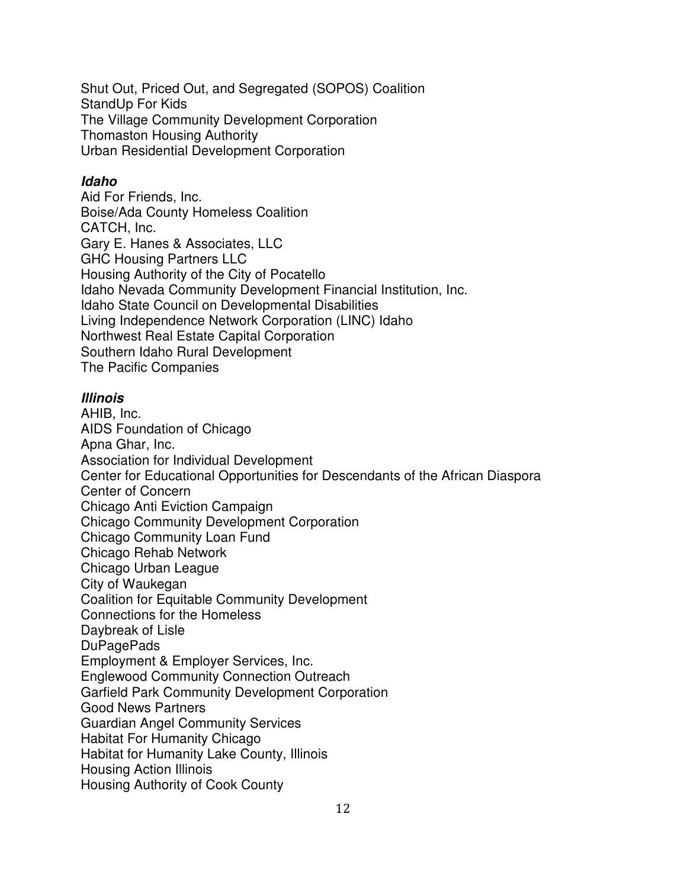Shut Out, Priced Out, and Segregated (SOPOS) Coalition StandUp For Kids The Village Community Development Corporation Thomaston Housing Authority Urban Residential Development Corporation

# **Idaho**

Aid For Friends, Inc. Boise/Ada County Homeless Coalition CATCH, Inc. Gary E. Hanes & Associates, LLC GHC Housing Partners LLC Housing Authority of the City of Pocatello Idaho Nevada Community Development Financial Institution, Inc. Idaho State Council on Developmental Disabilities Living Independence Network Corporation (LINC) Idaho Northwest Real Estate Capital Corporation Southern Idaho Rural Development The Pacific Companies

# **Illinois**

AHIB, Inc. AIDS Foundation of Chicago Apna Ghar, Inc. Association for Individual Development Center for Educational Opportunities for Descendants of the African Diaspora Center of Concern Chicago Anti Eviction Campaign Chicago Community Development Corporation Chicago Community Loan Fund Chicago Rehab Network Chicago Urban League City of Waukegan Coalition for Equitable Community Development Connections for the Homeless Daybreak of Lisle DuPagePads Employment & Employer Services, Inc. Englewood Community Connection Outreach Garfield Park Community Development Corporation Good News Partners Guardian Angel Community Services Habitat For Humanity Chicago Habitat for Humanity Lake County, Illinois Housing Action Illinois Housing Authority of Cook County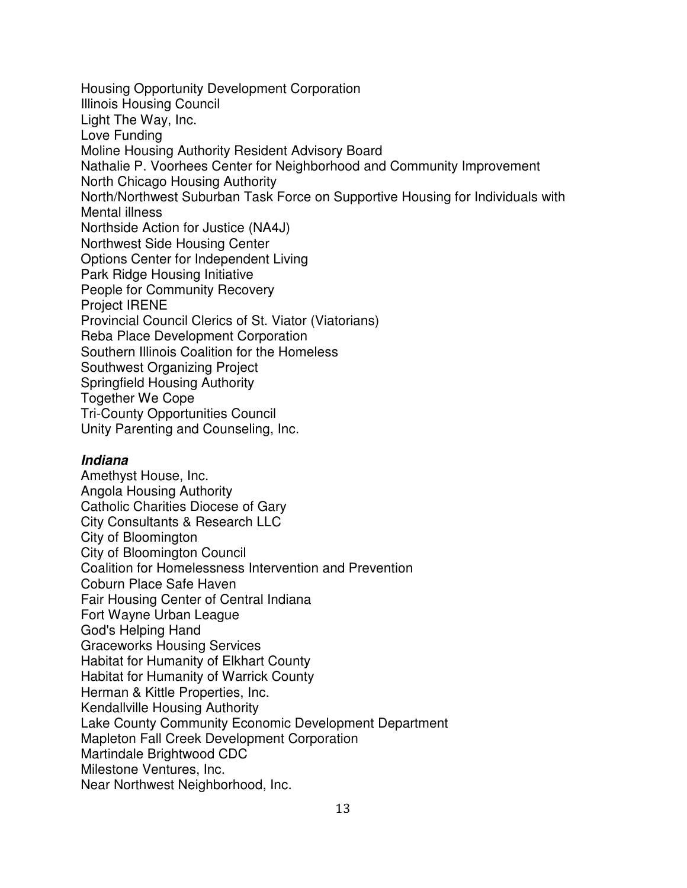Housing Opportunity Development Corporation Illinois Housing Council Light The Way, Inc. Love Funding Moline Housing Authority Resident Advisory Board Nathalie P. Voorhees Center for Neighborhood and Community Improvement North Chicago Housing Authority North/Northwest Suburban Task Force on Supportive Housing for Individuals with Mental illness Northside Action for Justice (NA4J) Northwest Side Housing Center Options Center for Independent Living Park Ridge Housing Initiative People for Community Recovery Project IRENE Provincial Council Clerics of St. Viator (Viatorians) Reba Place Development Corporation Southern Illinois Coalition for the Homeless Southwest Organizing Project Springfield Housing Authority Together We Cope Tri-County Opportunities Council Unity Parenting and Counseling, Inc.

## **Indiana**

Amethyst House, Inc. Angola Housing Authority Catholic Charities Diocese of Gary City Consultants & Research LLC City of Bloomington City of Bloomington Council Coalition for Homelessness Intervention and Prevention Coburn Place Safe Haven Fair Housing Center of Central Indiana Fort Wayne Urban League God's Helping Hand Graceworks Housing Services Habitat for Humanity of Elkhart County Habitat for Humanity of Warrick County Herman & Kittle Properties, Inc. Kendallville Housing Authority Lake County Community Economic Development Department Mapleton Fall Creek Development Corporation Martindale Brightwood CDC Milestone Ventures, Inc. Near Northwest Neighborhood, Inc.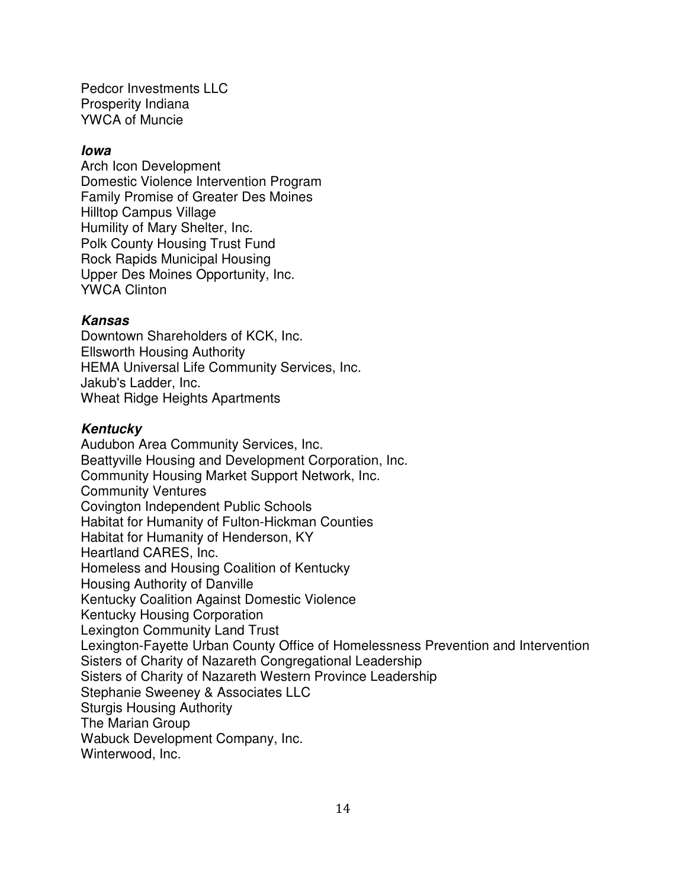Pedcor Investments LLC Prosperity Indiana YWCA of Muncie

#### **Iowa**

Arch Icon Development Domestic Violence Intervention Program Family Promise of Greater Des Moines Hilltop Campus Village Humility of Mary Shelter, Inc. Polk County Housing Trust Fund Rock Rapids Municipal Housing Upper Des Moines Opportunity, Inc. YWCA Clinton

#### **Kansas**

Downtown Shareholders of KCK, Inc. Ellsworth Housing Authority HEMA Universal Life Community Services, Inc. Jakub's Ladder, Inc. Wheat Ridge Heights Apartments

#### **Kentucky**

Audubon Area Community Services, Inc. Beattyville Housing and Development Corporation, Inc. Community Housing Market Support Network, Inc. Community Ventures Covington Independent Public Schools Habitat for Humanity of Fulton-Hickman Counties Habitat for Humanity of Henderson, KY Heartland CARES, Inc. Homeless and Housing Coalition of Kentucky Housing Authority of Danville Kentucky Coalition Against Domestic Violence Kentucky Housing Corporation Lexington Community Land Trust Lexington-Fayette Urban County Office of Homelessness Prevention and Intervention Sisters of Charity of Nazareth Congregational Leadership Sisters of Charity of Nazareth Western Province Leadership Stephanie Sweeney & Associates LLC Sturgis Housing Authority The Marian Group Wabuck Development Company, Inc. Winterwood, Inc.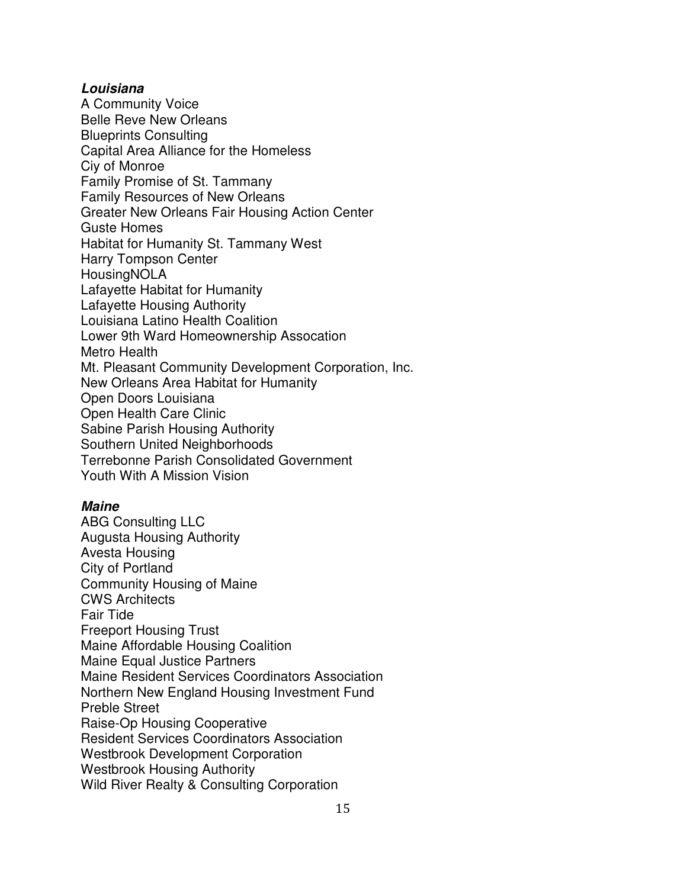#### **Louisiana**

A Community Voice Belle Reve New Orleans Blueprints Consulting Capital Area Alliance for the Homeless Ciy of Monroe Family Promise of St. Tammany Family Resources of New Orleans Greater New Orleans Fair Housing Action Center Guste Homes Habitat for Humanity St. Tammany West Harry Tompson Center **HousingNOLA** Lafayette Habitat for Humanity Lafayette Housing Authority Louisiana Latino Health Coalition Lower 9th Ward Homeownership Assocation Metro Health Mt. Pleasant Community Development Corporation, Inc. New Orleans Area Habitat for Humanity Open Doors Louisiana Open Health Care Clinic Sabine Parish Housing Authority Southern United Neighborhoods Terrebonne Parish Consolidated Government Youth With A Mission Vision

#### **Maine**

ABG Consulting LLC Augusta Housing Authority Avesta Housing City of Portland Community Housing of Maine CWS Architects Fair Tide Freeport Housing Trust Maine Affordable Housing Coalition Maine Equal Justice Partners Maine Resident Services Coordinators Association Northern New England Housing Investment Fund Preble Street Raise-Op Housing Cooperative Resident Services Coordinators Association Westbrook Development Corporation Westbrook Housing Authority Wild River Realty & Consulting Corporation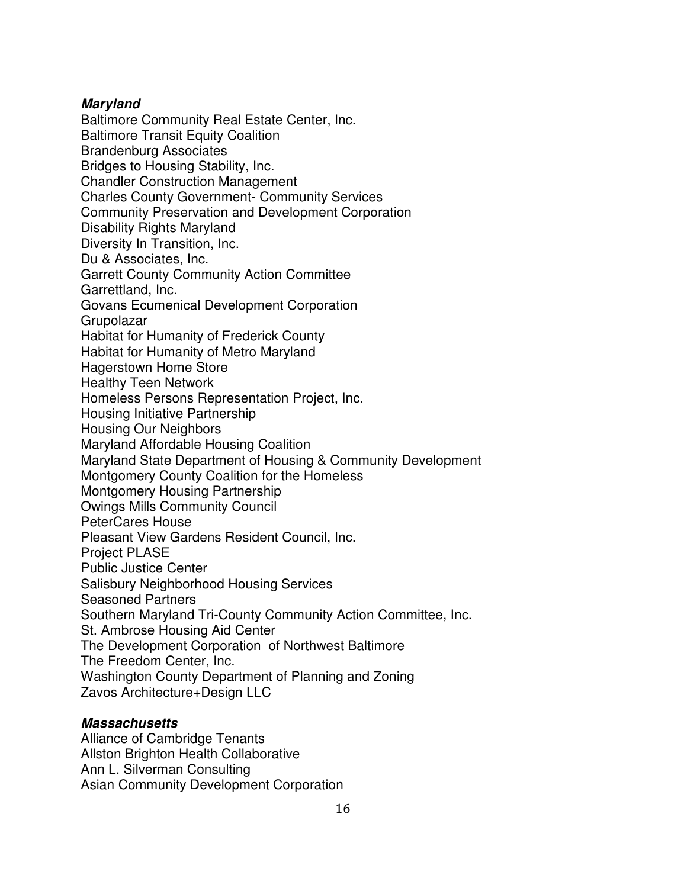# **Maryland**

Baltimore Community Real Estate Center, Inc. Baltimore Transit Equity Coalition Brandenburg Associates Bridges to Housing Stability, Inc. Chandler Construction Management Charles County Government- Community Services Community Preservation and Development Corporation Disability Rights Maryland Diversity In Transition, Inc. Du & Associates, Inc. Garrett County Community Action Committee Garrettland, Inc. Govans Ecumenical Development Corporation Grupolazar Habitat for Humanity of Frederick County Habitat for Humanity of Metro Maryland Hagerstown Home Store Healthy Teen Network Homeless Persons Representation Project, Inc. Housing Initiative Partnership Housing Our Neighbors Maryland Affordable Housing Coalition Maryland State Department of Housing & Community Development Montgomery County Coalition for the Homeless Montgomery Housing Partnership Owings Mills Community Council PeterCares House Pleasant View Gardens Resident Council, Inc. Project PLASE Public Justice Center Salisbury Neighborhood Housing Services Seasoned Partners Southern Maryland Tri-County Community Action Committee, Inc. St. Ambrose Housing Aid Center The Development Corporation of Northwest Baltimore The Freedom Center, Inc. Washington County Department of Planning and Zoning Zavos Architecture+Design LLC

## **Massachusetts**

Alliance of Cambridge Tenants Allston Brighton Health Collaborative Ann L. Silverman Consulting Asian Community Development Corporation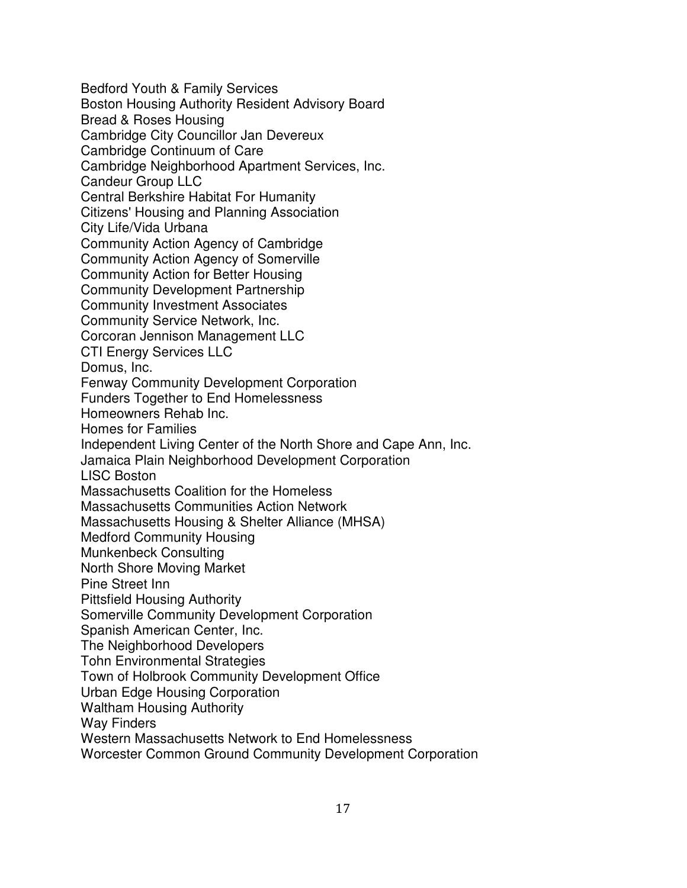Bedford Youth & Family Services Boston Housing Authority Resident Advisory Board Bread & Roses Housing Cambridge City Councillor Jan Devereux Cambridge Continuum of Care Cambridge Neighborhood Apartment Services, Inc. Candeur Group LLC Central Berkshire Habitat For Humanity Citizens' Housing and Planning Association City Life/Vida Urbana Community Action Agency of Cambridge Community Action Agency of Somerville Community Action for Better Housing Community Development Partnership Community Investment Associates Community Service Network, Inc. Corcoran Jennison Management LLC CTI Energy Services LLC Domus, Inc. Fenway Community Development Corporation Funders Together to End Homelessness Homeowners Rehab Inc. Homes for Families Independent Living Center of the North Shore and Cape Ann, Inc. Jamaica Plain Neighborhood Development Corporation LISC Boston Massachusetts Coalition for the Homeless Massachusetts Communities Action Network Massachusetts Housing & Shelter Alliance (MHSA) Medford Community Housing Munkenbeck Consulting North Shore Moving Market Pine Street Inn Pittsfield Housing Authority Somerville Community Development Corporation Spanish American Center, Inc. The Neighborhood Developers Tohn Environmental Strategies Town of Holbrook Community Development Office Urban Edge Housing Corporation Waltham Housing Authority Way Finders Western Massachusetts Network to End Homelessness Worcester Common Ground Community Development Corporation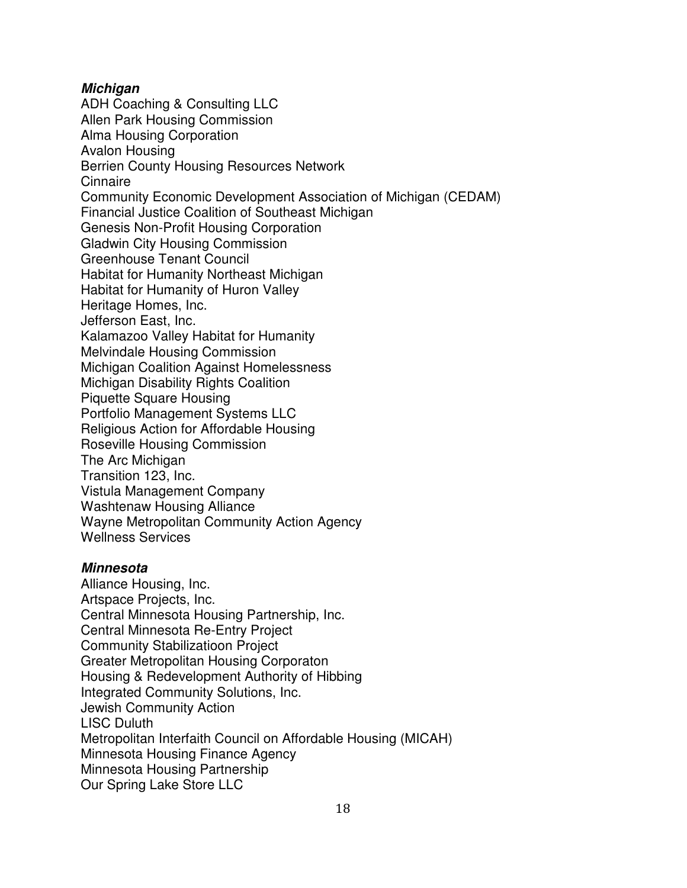## **Michigan**

ADH Coaching & Consulting LLC Allen Park Housing Commission Alma Housing Corporation Avalon Housing Berrien County Housing Resources Network **Cinnaire** Community Economic Development Association of Michigan (CEDAM) Financial Justice Coalition of Southeast Michigan Genesis Non-Profit Housing Corporation Gladwin City Housing Commission Greenhouse Tenant Council Habitat for Humanity Northeast Michigan Habitat for Humanity of Huron Valley Heritage Homes, Inc. Jefferson East, Inc. Kalamazoo Valley Habitat for Humanity Melvindale Housing Commission Michigan Coalition Against Homelessness Michigan Disability Rights Coalition Piquette Square Housing Portfolio Management Systems LLC Religious Action for Affordable Housing Roseville Housing Commission The Arc Michigan Transition 123, Inc. Vistula Management Company Washtenaw Housing Alliance Wayne Metropolitan Community Action Agency Wellness Services

## **Minnesota**

Alliance Housing, Inc. Artspace Projects, Inc. Central Minnesota Housing Partnership, Inc. Central Minnesota Re-Entry Project Community Stabilizatioon Project Greater Metropolitan Housing Corporaton Housing & Redevelopment Authority of Hibbing Integrated Community Solutions, Inc. Jewish Community Action LISC Duluth Metropolitan Interfaith Council on Affordable Housing (MICAH) Minnesota Housing Finance Agency Minnesota Housing Partnership Our Spring Lake Store LLC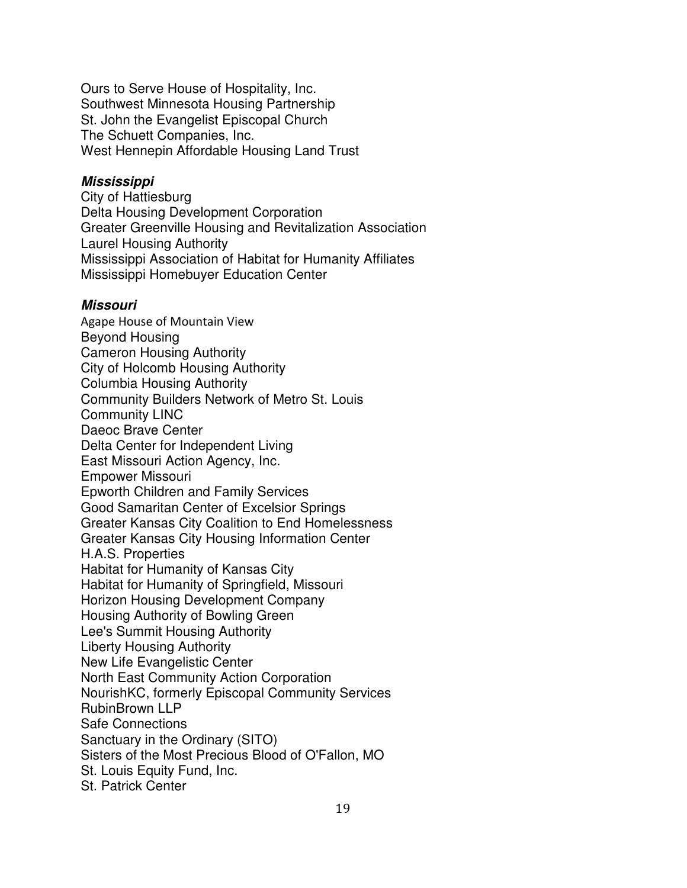Ours to Serve House of Hospitality, Inc. Southwest Minnesota Housing Partnership St. John the Evangelist Episcopal Church The Schuett Companies, Inc. West Hennepin Affordable Housing Land Trust

#### **Mississippi**

City of Hattiesburg Delta Housing Development Corporation Greater Greenville Housing and Revitalization Association Laurel Housing Authority Mississippi Association of Habitat for Humanity Affiliates Mississippi Homebuyer Education Center

#### **Missouri**

Agape House of Mountain View Beyond Housing Cameron Housing Authority City of Holcomb Housing Authority Columbia Housing Authority Community Builders Network of Metro St. Louis Community LINC Daeoc Brave Center Delta Center for Independent Living East Missouri Action Agency, Inc. Empower Missouri Epworth Children and Family Services Good Samaritan Center of Excelsior Springs Greater Kansas City Coalition to End Homelessness Greater Kansas City Housing Information Center H.A.S. Properties Habitat for Humanity of Kansas City Habitat for Humanity of Springfield, Missouri Horizon Housing Development Company Housing Authority of Bowling Green Lee's Summit Housing Authority Liberty Housing Authority New Life Evangelistic Center North East Community Action Corporation NourishKC, formerly Episcopal Community Services RubinBrown LLP Safe Connections Sanctuary in the Ordinary (SITO) Sisters of the Most Precious Blood of O'Fallon, MO St. Louis Equity Fund, Inc. St. Patrick Center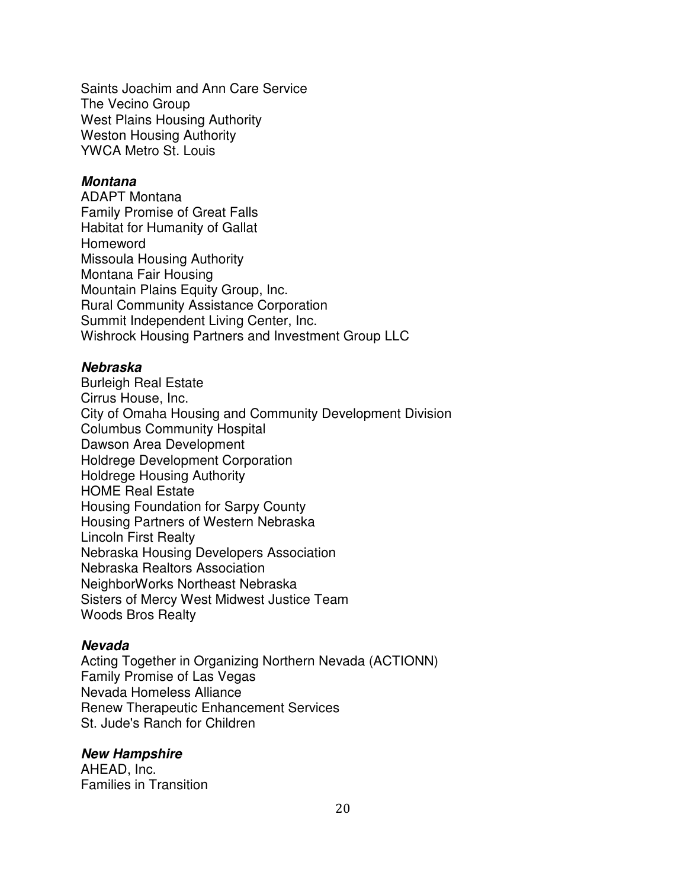Saints Joachim and Ann Care Service The Vecino Group West Plains Housing Authority Weston Housing Authority YWCA Metro St. Louis

### **Montana**

ADAPT Montana Family Promise of Great Falls Habitat for Humanity of Gallat Homeword Missoula Housing Authority Montana Fair Housing Mountain Plains Equity Group, Inc. Rural Community Assistance Corporation Summit Independent Living Center, Inc. Wishrock Housing Partners and Investment Group LLC

## **Nebraska**

Burleigh Real Estate Cirrus House, Inc. City of Omaha Housing and Community Development Division Columbus Community Hospital Dawson Area Development Holdrege Development Corporation Holdrege Housing Authority HOME Real Estate Housing Foundation for Sarpy County Housing Partners of Western Nebraska Lincoln First Realty Nebraska Housing Developers Association Nebraska Realtors Association NeighborWorks Northeast Nebraska Sisters of Mercy West Midwest Justice Team Woods Bros Realty

## **Nevada**

Acting Together in Organizing Northern Nevada (ACTIONN) Family Promise of Las Vegas Nevada Homeless Alliance Renew Therapeutic Enhancement Services St. Jude's Ranch for Children

## **New Hampshire**

AHEAD, Inc. Families in Transition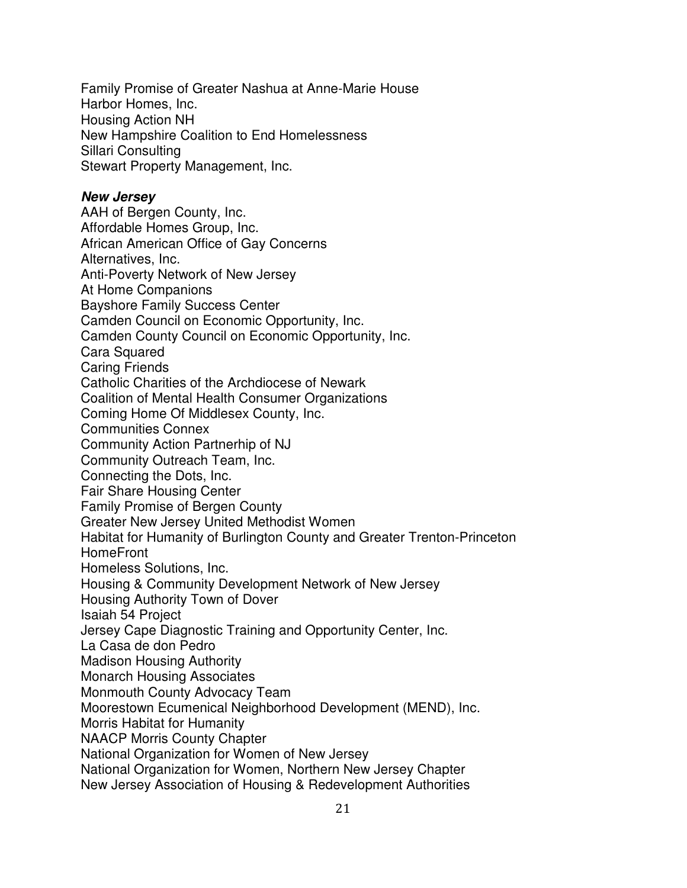Family Promise of Greater Nashua at Anne-Marie House Harbor Homes, Inc. Housing Action NH New Hampshire Coalition to End Homelessness Sillari Consulting Stewart Property Management, Inc.

#### **New Jersey**

AAH of Bergen County, Inc. Affordable Homes Group, Inc. African American Office of Gay Concerns Alternatives, Inc. Anti-Poverty Network of New Jersey At Home Companions Bayshore Family Success Center Camden Council on Economic Opportunity, Inc. Camden County Council on Economic Opportunity, Inc. Cara Squared Caring Friends Catholic Charities of the Archdiocese of Newark Coalition of Mental Health Consumer Organizations Coming Home Of Middlesex County, Inc. Communities Connex Community Action Partnerhip of NJ Community Outreach Team, Inc. Connecting the Dots, Inc. Fair Share Housing Center Family Promise of Bergen County Greater New Jersey United Methodist Women Habitat for Humanity of Burlington County and Greater Trenton-Princeton **HomeFront** Homeless Solutions, Inc. Housing & Community Development Network of New Jersey Housing Authority Town of Dover Isaiah 54 Project Jersey Cape Diagnostic Training and Opportunity Center, Inc. La Casa de don Pedro Madison Housing Authority Monarch Housing Associates Monmouth County Advocacy Team Moorestown Ecumenical Neighborhood Development (MEND), Inc. Morris Habitat for Humanity NAACP Morris County Chapter National Organization for Women of New Jersey National Organization for Women, Northern New Jersey Chapter New Jersey Association of Housing & Redevelopment Authorities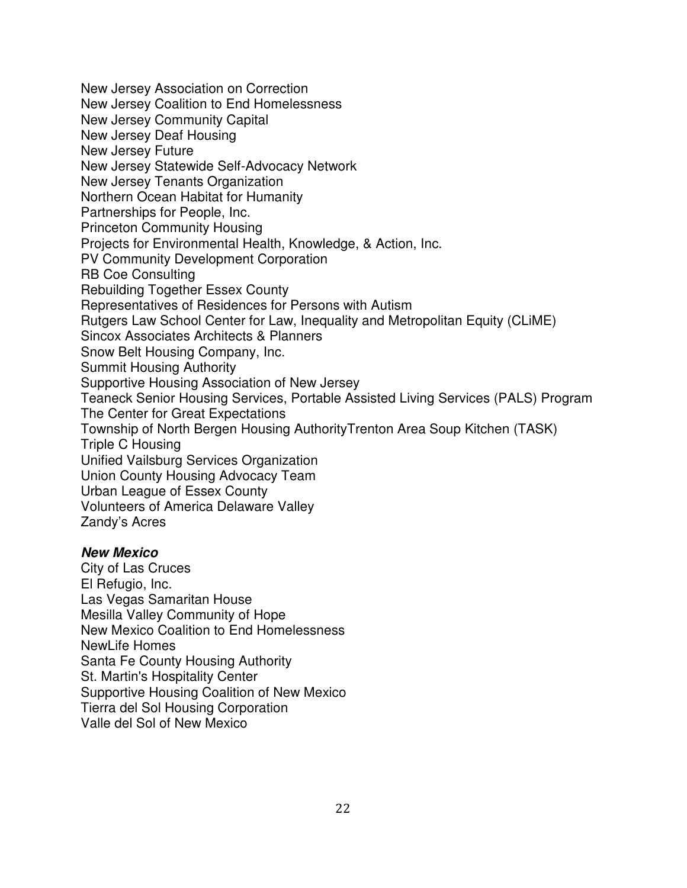New Jersey Association on Correction New Jersey Coalition to End Homelessness New Jersey Community Capital New Jersey Deaf Housing New Jersey Future New Jersey Statewide Self-Advocacy Network New Jersey Tenants Organization Northern Ocean Habitat for Humanity Partnerships for People, Inc. Princeton Community Housing Projects for Environmental Health, Knowledge, & Action, Inc. PV Community Development Corporation RB Coe Consulting Rebuilding Together Essex County Representatives of Residences for Persons with Autism Rutgers Law School Center for Law, Inequality and Metropolitan Equity (CLiME) Sincox Associates Architects & Planners Snow Belt Housing Company, Inc. Summit Housing Authority Supportive Housing Association of New Jersey Teaneck Senior Housing Services, Portable Assisted Living Services (PALS) Program The Center for Great Expectations Township of North Bergen Housing AuthorityTrenton Area Soup Kitchen (TASK) Triple C Housing Unified Vailsburg Services Organization Union County Housing Advocacy Team Urban League of Essex County Volunteers of America Delaware Valley Zandy's Acres

### **New Mexico**

City of Las Cruces El Refugio, Inc. Las Vegas Samaritan House Mesilla Valley Community of Hope New Mexico Coalition to End Homelessness NewLife Homes Santa Fe County Housing Authority St. Martin's Hospitality Center Supportive Housing Coalition of New Mexico Tierra del Sol Housing Corporation Valle del Sol of New Mexico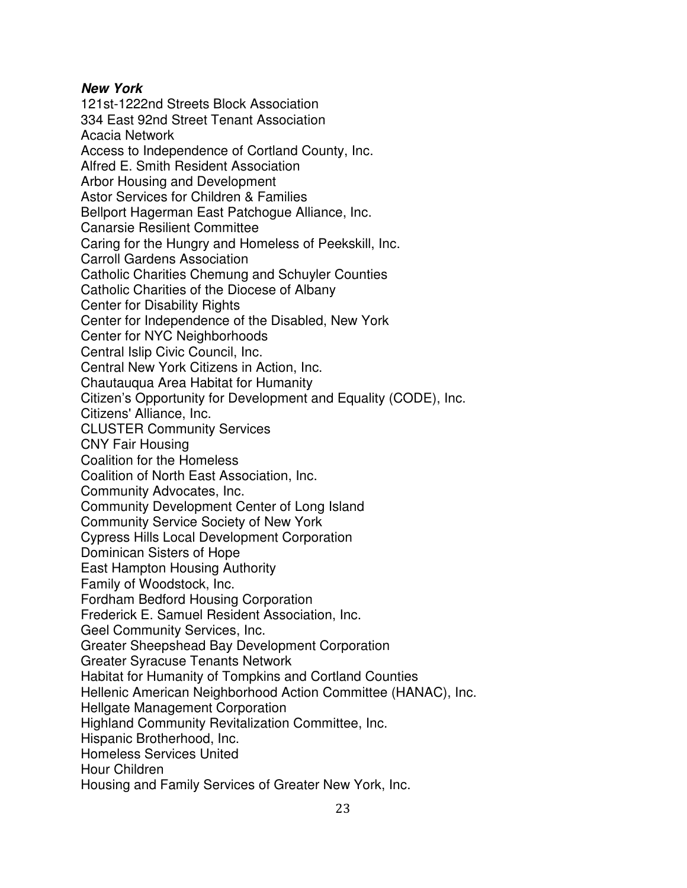## **New York**

121st-1222nd Streets Block Association 334 East 92nd Street Tenant Association Acacia Network Access to Independence of Cortland County, Inc. Alfred E. Smith Resident Association Arbor Housing and Development Astor Services for Children & Families Bellport Hagerman East Patchogue Alliance, Inc. Canarsie Resilient Committee Caring for the Hungry and Homeless of Peekskill, Inc. Carroll Gardens Association Catholic Charities Chemung and Schuyler Counties Catholic Charities of the Diocese of Albany Center for Disability Rights Center for Independence of the Disabled, New York Center for NYC Neighborhoods Central Islip Civic Council, Inc. Central New York Citizens in Action, Inc. Chautauqua Area Habitat for Humanity Citizen's Opportunity for Development and Equality (CODE), Inc. Citizens' Alliance, Inc. CLUSTER Community Services CNY Fair Housing Coalition for the Homeless Coalition of North East Association, Inc. Community Advocates, Inc. Community Development Center of Long Island Community Service Society of New York Cypress Hills Local Development Corporation Dominican Sisters of Hope East Hampton Housing Authority Family of Woodstock, Inc. Fordham Bedford Housing Corporation Frederick E. Samuel Resident Association, Inc. Geel Community Services, Inc. Greater Sheepshead Bay Development Corporation Greater Syracuse Tenants Network Habitat for Humanity of Tompkins and Cortland Counties Hellenic American Neighborhood Action Committee (HANAC), Inc. Hellgate Management Corporation Highland Community Revitalization Committee, Inc. Hispanic Brotherhood, Inc. Homeless Services United Hour Children Housing and Family Services of Greater New York, Inc.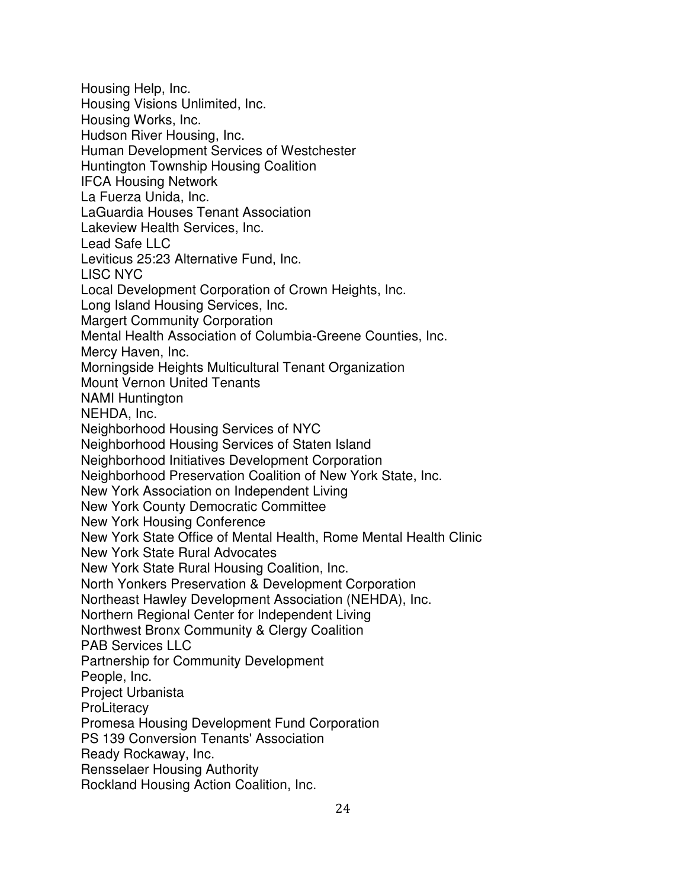Housing Help, Inc. Housing Visions Unlimited, Inc. Housing Works, Inc. Hudson River Housing, Inc. Human Development Services of Westchester Huntington Township Housing Coalition IFCA Housing Network La Fuerza Unida, Inc. LaGuardia Houses Tenant Association Lakeview Health Services, Inc. Lead Safe LLC Leviticus 25:23 Alternative Fund, Inc. LISC NYC Local Development Corporation of Crown Heights, Inc. Long Island Housing Services, Inc. Margert Community Corporation Mental Health Association of Columbia-Greene Counties, Inc. Mercy Haven, Inc. Morningside Heights Multicultural Tenant Organization Mount Vernon United Tenants NAMI Huntington NEHDA, Inc. Neighborhood Housing Services of NYC Neighborhood Housing Services of Staten Island Neighborhood Initiatives Development Corporation Neighborhood Preservation Coalition of New York State, Inc. New York Association on Independent Living New York County Democratic Committee New York Housing Conference New York State Office of Mental Health, Rome Mental Health Clinic New York State Rural Advocates New York State Rural Housing Coalition, Inc. North Yonkers Preservation & Development Corporation Northeast Hawley Development Association (NEHDA), Inc. Northern Regional Center for Independent Living Northwest Bronx Community & Clergy Coalition PAB Services LLC Partnership for Community Development People, Inc. Project Urbanista **ProLiteracy** Promesa Housing Development Fund Corporation PS 139 Conversion Tenants' Association Ready Rockaway, Inc. Rensselaer Housing Authority Rockland Housing Action Coalition, Inc.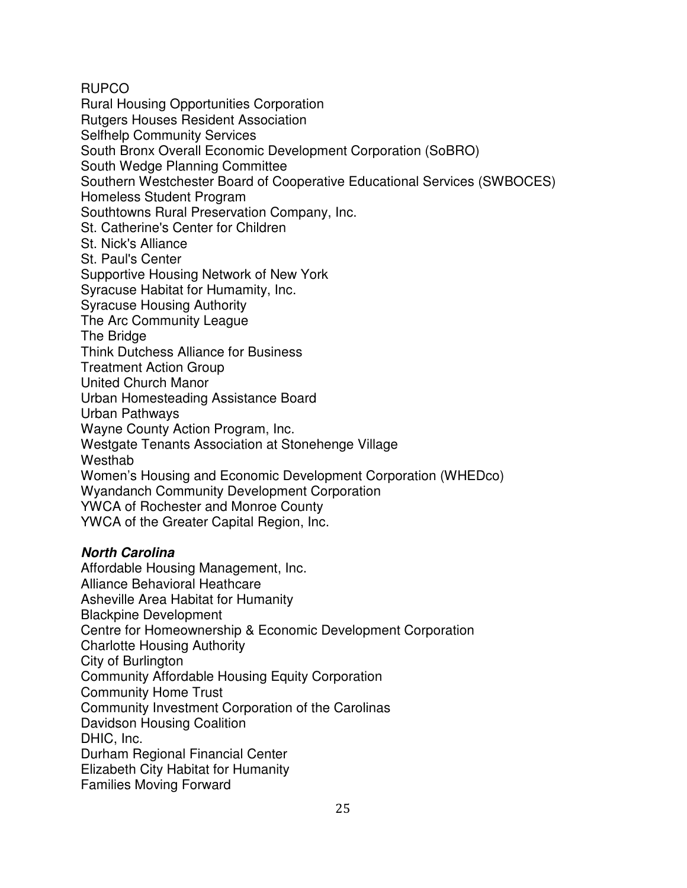RUPCO

Rural Housing Opportunities Corporation Rutgers Houses Resident Association Selfhelp Community Services South Bronx Overall Economic Development Corporation (SoBRO) South Wedge Planning Committee Southern Westchester Board of Cooperative Educational Services (SWBOCES) Homeless Student Program Southtowns Rural Preservation Company, Inc. St. Catherine's Center for Children St. Nick's Alliance St. Paul's Center Supportive Housing Network of New York Syracuse Habitat for Humamity, Inc. Syracuse Housing Authority The Arc Community League The Bridge Think Dutchess Alliance for Business Treatment Action Group United Church Manor Urban Homesteading Assistance Board Urban Pathways Wayne County Action Program, Inc. Westgate Tenants Association at Stonehenge Village Westhab Women's Housing and Economic Development Corporation (WHEDco) Wyandanch Community Development Corporation YWCA of Rochester and Monroe County YWCA of the Greater Capital Region, Inc.

## **North Carolina**

Affordable Housing Management, Inc. Alliance Behavioral Heathcare Asheville Area Habitat for Humanity Blackpine Development Centre for Homeownership & Economic Development Corporation Charlotte Housing Authority City of Burlington Community Affordable Housing Equity Corporation Community Home Trust Community Investment Corporation of the Carolinas Davidson Housing Coalition DHIC, Inc. Durham Regional Financial Center Elizabeth City Habitat for Humanity Families Moving Forward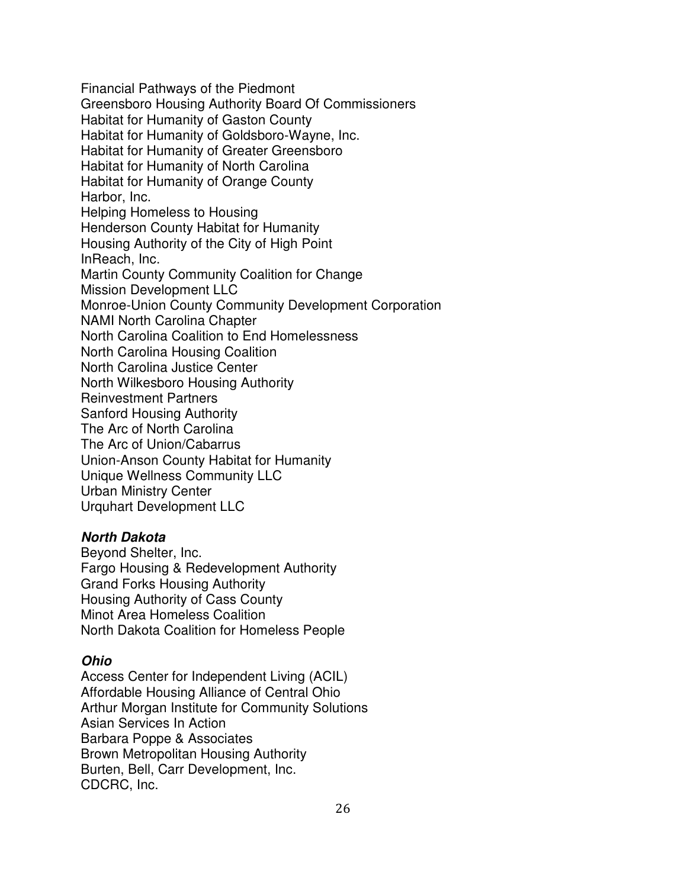Financial Pathways of the Piedmont Greensboro Housing Authority Board Of Commissioners Habitat for Humanity of Gaston County Habitat for Humanity of Goldsboro-Wayne, Inc. Habitat for Humanity of Greater Greensboro Habitat for Humanity of North Carolina Habitat for Humanity of Orange County Harbor, Inc. Helping Homeless to Housing Henderson County Habitat for Humanity Housing Authority of the City of High Point InReach, Inc. Martin County Community Coalition for Change Mission Development LLC Monroe-Union County Community Development Corporation NAMI North Carolina Chapter North Carolina Coalition to End Homelessness North Carolina Housing Coalition North Carolina Justice Center North Wilkesboro Housing Authority Reinvestment Partners Sanford Housing Authority The Arc of North Carolina The Arc of Union/Cabarrus Union-Anson County Habitat for Humanity Unique Wellness Community LLC Urban Ministry Center Urquhart Development LLC

## **North Dakota**

Beyond Shelter, Inc. Fargo Housing & Redevelopment Authority Grand Forks Housing Authority Housing Authority of Cass County Minot Area Homeless Coalition North Dakota Coalition for Homeless People

## **Ohio**

Access Center for Independent Living (ACIL) Affordable Housing Alliance of Central Ohio Arthur Morgan Institute for Community Solutions Asian Services In Action Barbara Poppe & Associates Brown Metropolitan Housing Authority Burten, Bell, Carr Development, Inc. CDCRC, Inc.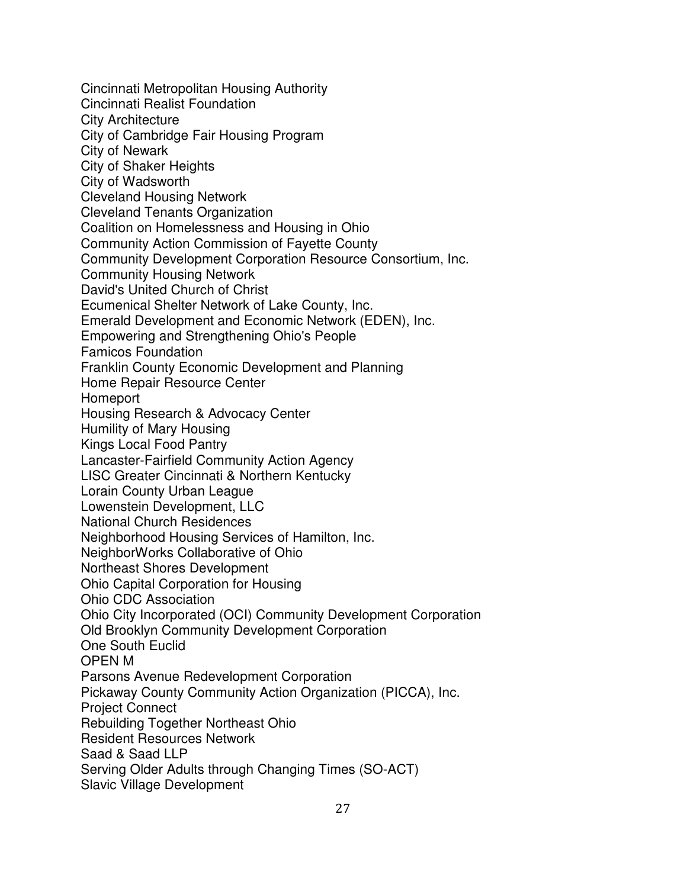Cincinnati Metropolitan Housing Authority Cincinnati Realist Foundation City Architecture City of Cambridge Fair Housing Program City of Newark City of Shaker Heights City of Wadsworth Cleveland Housing Network Cleveland Tenants Organization Coalition on Homelessness and Housing in Ohio Community Action Commission of Fayette County Community Development Corporation Resource Consortium, Inc. Community Housing Network David's United Church of Christ Ecumenical Shelter Network of Lake County, Inc. Emerald Development and Economic Network (EDEN), Inc. Empowering and Strengthening Ohio's People Famicos Foundation Franklin County Economic Development and Planning Home Repair Resource Center Homeport Housing Research & Advocacy Center Humility of Mary Housing Kings Local Food Pantry Lancaster-Fairfield Community Action Agency LISC Greater Cincinnati & Northern Kentucky Lorain County Urban League Lowenstein Development, LLC National Church Residences Neighborhood Housing Services of Hamilton, Inc. NeighborWorks Collaborative of Ohio Northeast Shores Development Ohio Capital Corporation for Housing Ohio CDC Association Ohio City Incorporated (OCI) Community Development Corporation Old Brooklyn Community Development Corporation One South Euclid OPEN M Parsons Avenue Redevelopment Corporation Pickaway County Community Action Organization (PICCA), Inc. Project Connect Rebuilding Together Northeast Ohio Resident Resources Network Saad & Saad LLP Serving Older Adults through Changing Times (SO-ACT)

Slavic Village Development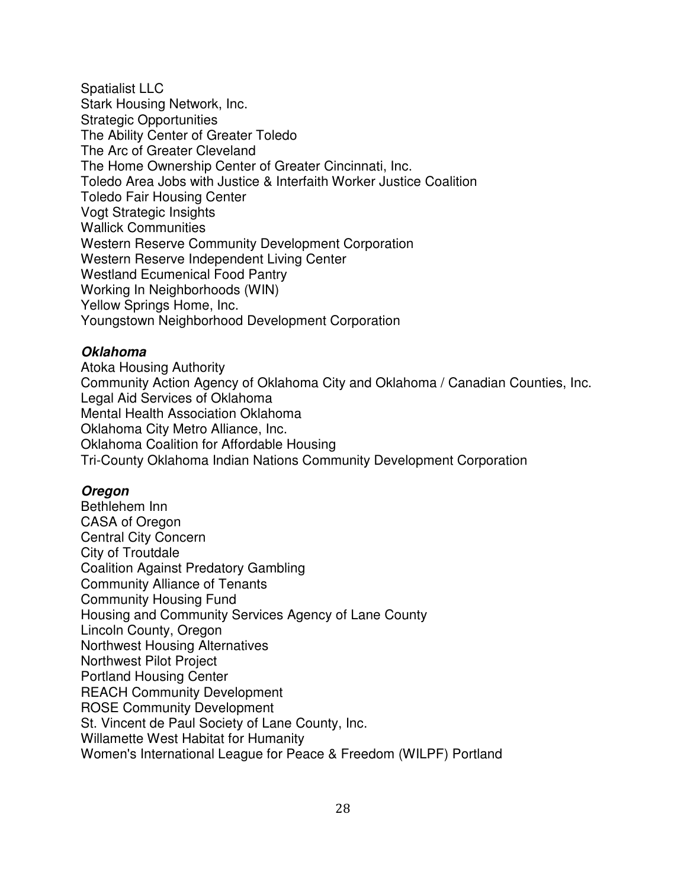Spatialist LLC Stark Housing Network, Inc. Strategic Opportunities The Ability Center of Greater Toledo The Arc of Greater Cleveland The Home Ownership Center of Greater Cincinnati, Inc. Toledo Area Jobs with Justice & Interfaith Worker Justice Coalition Toledo Fair Housing Center Vogt Strategic Insights Wallick Communities Western Reserve Community Development Corporation Western Reserve Independent Living Center Westland Ecumenical Food Pantry Working In Neighborhoods (WIN) Yellow Springs Home, Inc. Youngstown Neighborhood Development Corporation

#### **Oklahoma**

Atoka Housing Authority Community Action Agency of Oklahoma City and Oklahoma / Canadian Counties, Inc. Legal Aid Services of Oklahoma Mental Health Association Oklahoma Oklahoma City Metro Alliance, Inc. Oklahoma Coalition for Affordable Housing Tri-County Oklahoma Indian Nations Community Development Corporation

#### **Oregon**

Bethlehem Inn CASA of Oregon Central City Concern City of Troutdale Coalition Against Predatory Gambling Community Alliance of Tenants Community Housing Fund Housing and Community Services Agency of Lane County Lincoln County, Oregon Northwest Housing Alternatives Northwest Pilot Project Portland Housing Center REACH Community Development ROSE Community Development St. Vincent de Paul Society of Lane County, Inc. Willamette West Habitat for Humanity Women's International League for Peace & Freedom (WILPF) Portland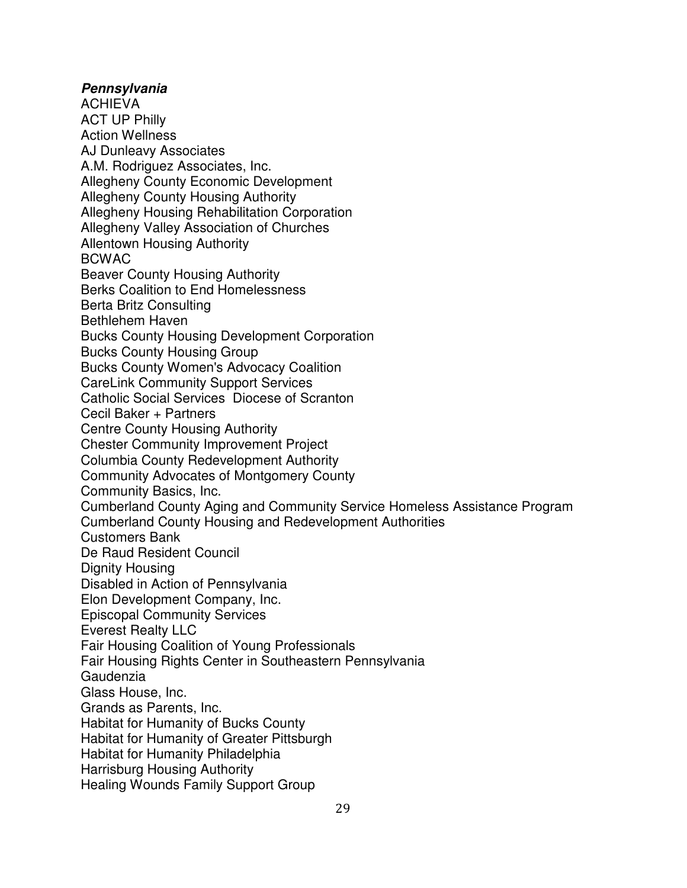#### **Pennsylvania**

ACHIEVA ACT UP Philly Action Wellness AJ Dunleavy Associates A.M. Rodriguez Associates, Inc. Allegheny County Economic Development Allegheny County Housing Authority Allegheny Housing Rehabilitation Corporation Allegheny Valley Association of Churches Allentown Housing Authority BCWAC Beaver County Housing Authority Berks Coalition to End Homelessness Berta Britz Consulting Bethlehem Haven Bucks County Housing Development Corporation Bucks County Housing Group Bucks County Women's Advocacy Coalition CareLink Community Support Services Catholic Social Services Diocese of Scranton Cecil Baker + Partners Centre County Housing Authority Chester Community Improvement Project Columbia County Redevelopment Authority Community Advocates of Montgomery County Community Basics, Inc. Cumberland County Aging and Community Service Homeless Assistance Program Cumberland County Housing and Redevelopment Authorities Customers Bank De Raud Resident Council Dignity Housing Disabled in Action of Pennsylvania Elon Development Company, Inc. Episcopal Community Services Everest Realty LLC Fair Housing Coalition of Young Professionals Fair Housing Rights Center in Southeastern Pennsylvania Gaudenzia Glass House, Inc. Grands as Parents, Inc. Habitat for Humanity of Bucks County Habitat for Humanity of Greater Pittsburgh Habitat for Humanity Philadelphia Harrisburg Housing Authority Healing Wounds Family Support Group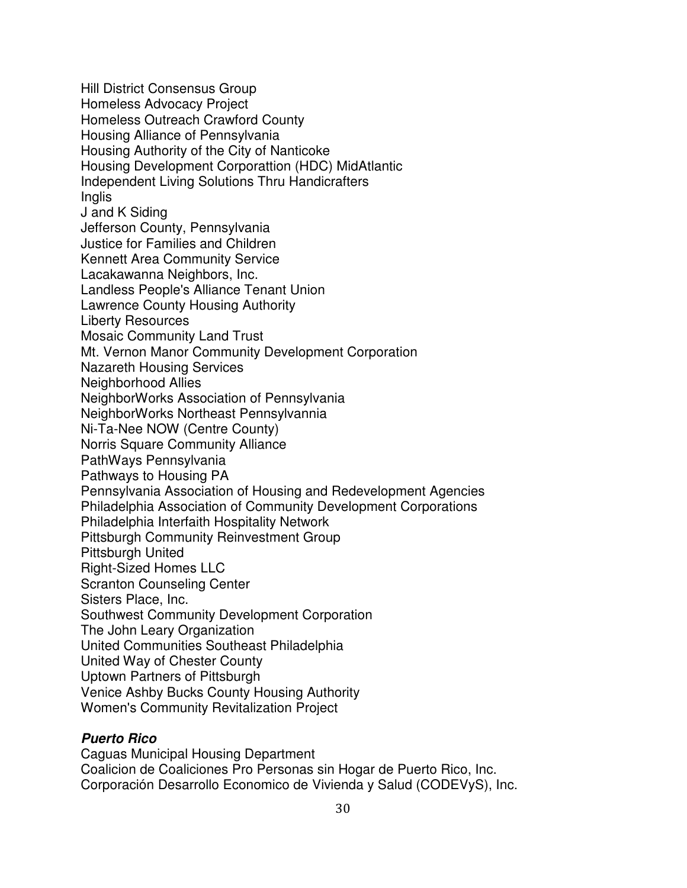Hill District Consensus Group Homeless Advocacy Project Homeless Outreach Crawford County Housing Alliance of Pennsylvania Housing Authority of the City of Nanticoke Housing Development Corporattion (HDC) MidAtlantic Independent Living Solutions Thru Handicrafters Inglis J and K Siding Jefferson County, Pennsylvania Justice for Families and Children Kennett Area Community Service Lacakawanna Neighbors, Inc. Landless People's Alliance Tenant Union Lawrence County Housing Authority Liberty Resources Mosaic Community Land Trust Mt. Vernon Manor Community Development Corporation Nazareth Housing Services Neighborhood Allies NeighborWorks Association of Pennsylvania NeighborWorks Northeast Pennsylvannia Ni-Ta-Nee NOW (Centre County) Norris Square Community Alliance PathWays Pennsylvania Pathways to Housing PA Pennsylvania Association of Housing and Redevelopment Agencies Philadelphia Association of Community Development Corporations Philadelphia Interfaith Hospitality Network Pittsburgh Community Reinvestment Group Pittsburgh United Right-Sized Homes LLC Scranton Counseling Center Sisters Place, Inc. Southwest Community Development Corporation The John Leary Organization United Communities Southeast Philadelphia United Way of Chester County Uptown Partners of Pittsburgh Venice Ashby Bucks County Housing Authority Women's Community Revitalization Project

## **Puerto Rico**

Caguas Municipal Housing Department Coalicion de Coaliciones Pro Personas sin Hogar de Puerto Rico, Inc. Corporación Desarrollo Economico de Vivienda y Salud (CODEVyS), Inc.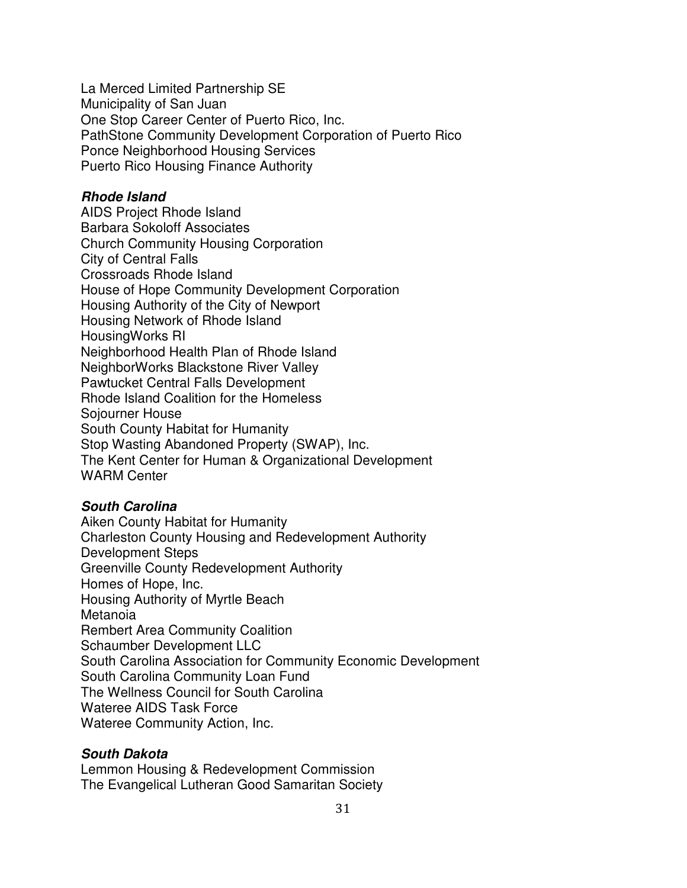La Merced Limited Partnership SE Municipality of San Juan One Stop Career Center of Puerto Rico, Inc. PathStone Community Development Corporation of Puerto Rico Ponce Neighborhood Housing Services Puerto Rico Housing Finance Authority

### **Rhode Island**

AIDS Project Rhode Island Barbara Sokoloff Associates Church Community Housing Corporation City of Central Falls Crossroads Rhode Island House of Hope Community Development Corporation Housing Authority of the City of Newport Housing Network of Rhode Island HousingWorks RI Neighborhood Health Plan of Rhode Island NeighborWorks Blackstone River Valley Pawtucket Central Falls Development Rhode Island Coalition for the Homeless Sojourner House South County Habitat for Humanity Stop Wasting Abandoned Property (SWAP), Inc. The Kent Center for Human & Organizational Development WARM Center

## **South Carolina**

Aiken County Habitat for Humanity Charleston County Housing and Redevelopment Authority Development Steps Greenville County Redevelopment Authority Homes of Hope, Inc. Housing Authority of Myrtle Beach Metanoia Rembert Area Community Coalition Schaumber Development LLC South Carolina Association for Community Economic Development South Carolina Community Loan Fund The Wellness Council for South Carolina Wateree AIDS Task Force Wateree Community Action, Inc.

## **South Dakota**

Lemmon Housing & Redevelopment Commission The Evangelical Lutheran Good Samaritan Society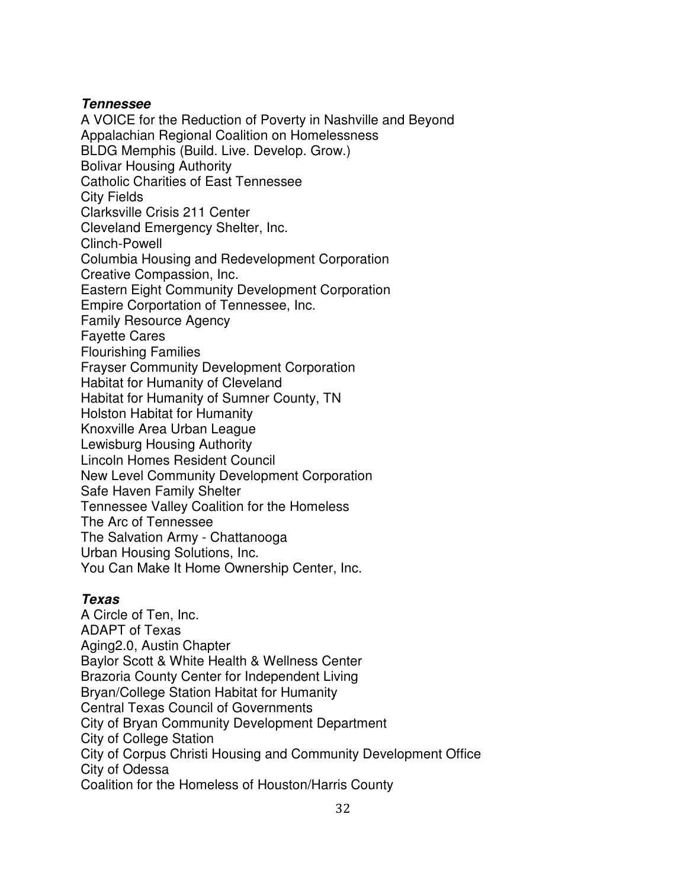## **Tennessee**

A VOICE for the Reduction of Poverty in Nashville and Beyond Appalachian Regional Coalition on Homelessness BLDG Memphis (Build. Live. Develop. Grow.) Bolivar Housing Authority Catholic Charities of East Tennessee City Fields Clarksville Crisis 211 Center Cleveland Emergency Shelter, Inc. Clinch-Powell Columbia Housing and Redevelopment Corporation Creative Compassion, Inc. Eastern Eight Community Development Corporation Empire Corportation of Tennessee, Inc. Family Resource Agency Fayette Cares Flourishing Families Frayser Community Development Corporation Habitat for Humanity of Cleveland Habitat for Humanity of Sumner County, TN Holston Habitat for Humanity Knoxville Area Urban League Lewisburg Housing Authority Lincoln Homes Resident Council New Level Community Development Corporation Safe Haven Family Shelter Tennessee Valley Coalition for the Homeless The Arc of Tennessee The Salvation Army - Chattanooga Urban Housing Solutions, Inc. You Can Make It Home Ownership Center, Inc.

# **Texas**

A Circle of Ten, Inc. ADAPT of Texas Aging2.0, Austin Chapter Baylor Scott & White Health & Wellness Center Brazoria County Center for Independent Living Bryan/College Station Habitat for Humanity Central Texas Council of Governments City of Bryan Community Development Department City of College Station City of Corpus Christi Housing and Community Development Office City of Odessa Coalition for the Homeless of Houston/Harris County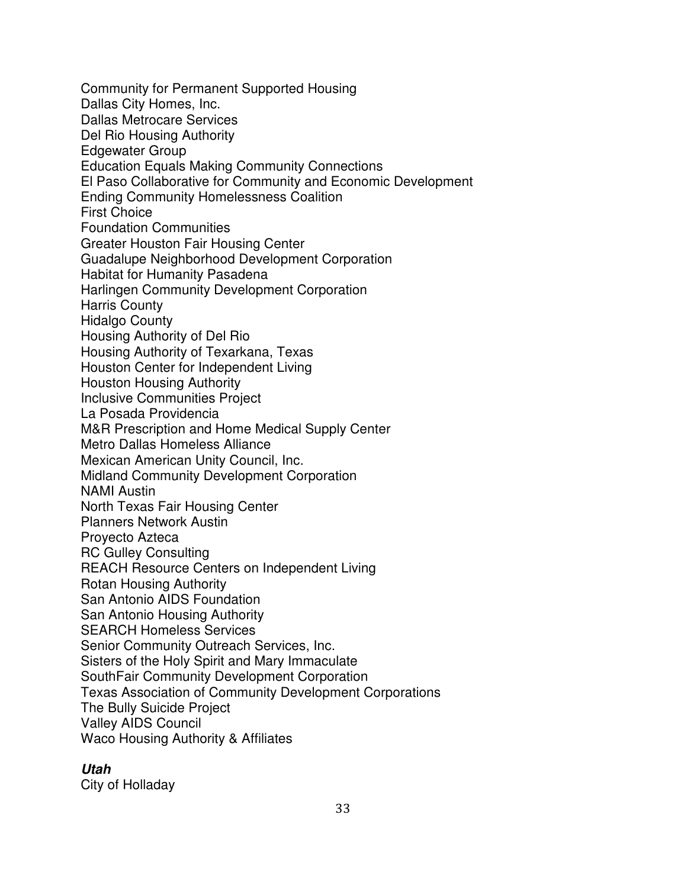Community for Permanent Supported Housing Dallas City Homes, Inc. Dallas Metrocare Services Del Rio Housing Authority Edgewater Group Education Equals Making Community Connections El Paso Collaborative for Community and Economic Development Ending Community Homelessness Coalition First Choice Foundation Communities Greater Houston Fair Housing Center Guadalupe Neighborhood Development Corporation Habitat for Humanity Pasadena Harlingen Community Development Corporation Harris County Hidalgo County Housing Authority of Del Rio Housing Authority of Texarkana, Texas Houston Center for Independent Living Houston Housing Authority Inclusive Communities Project La Posada Providencia M&R Prescription and Home Medical Supply Center Metro Dallas Homeless Alliance Mexican American Unity Council, Inc. Midland Community Development Corporation NAMI Austin North Texas Fair Housing Center Planners Network Austin Proyecto Azteca RC Gulley Consulting REACH Resource Centers on Independent Living Rotan Housing Authority San Antonio AIDS Foundation San Antonio Housing Authority SEARCH Homeless Services Senior Community Outreach Services, Inc. Sisters of the Holy Spirit and Mary Immaculate SouthFair Community Development Corporation Texas Association of Community Development Corporations The Bully Suicide Project Valley AIDS Council Waco Housing Authority & Affiliates

#### **Utah**

City of Holladay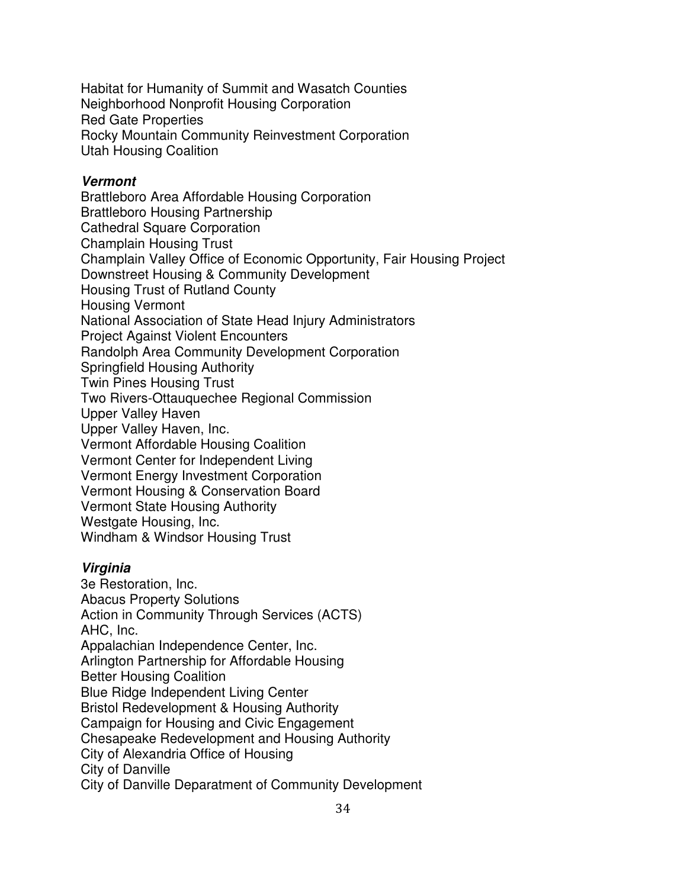Habitat for Humanity of Summit and Wasatch Counties Neighborhood Nonprofit Housing Corporation Red Gate Properties Rocky Mountain Community Reinvestment Corporation Utah Housing Coalition

## **Vermont**

Brattleboro Area Affordable Housing Corporation Brattleboro Housing Partnership Cathedral Square Corporation Champlain Housing Trust Champlain Valley Office of Economic Opportunity, Fair Housing Project Downstreet Housing & Community Development Housing Trust of Rutland County Housing Vermont National Association of State Head Injury Administrators Project Against Violent Encounters Randolph Area Community Development Corporation Springfield Housing Authority Twin Pines Housing Trust Two Rivers-Ottauquechee Regional Commission Upper Valley Haven Upper Valley Haven, Inc. Vermont Affordable Housing Coalition Vermont Center for Independent Living Vermont Energy Investment Corporation Vermont Housing & Conservation Board Vermont State Housing Authority Westgate Housing, Inc. Windham & Windsor Housing Trust

## **Virginia**

3e Restoration, Inc. Abacus Property Solutions Action in Community Through Services (ACTS) AHC, Inc. Appalachian Independence Center, Inc. Arlington Partnership for Affordable Housing Better Housing Coalition Blue Ridge Independent Living Center Bristol Redevelopment & Housing Authority Campaign for Housing and Civic Engagement Chesapeake Redevelopment and Housing Authority City of Alexandria Office of Housing City of Danville City of Danville Deparatment of Community Development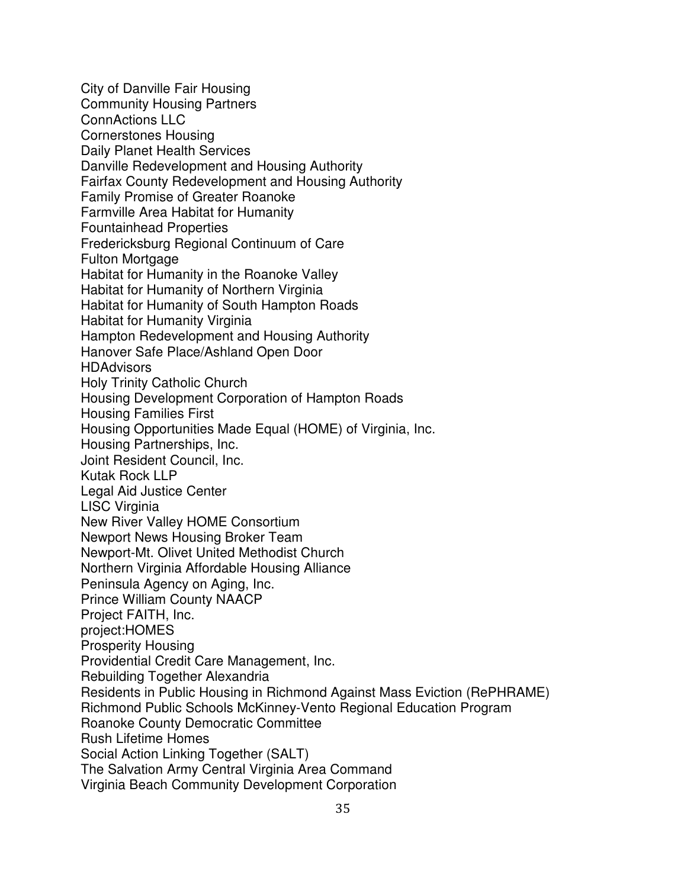City of Danville Fair Housing Community Housing Partners ConnActions LLC Cornerstones Housing Daily Planet Health Services Danville Redevelopment and Housing Authority Fairfax County Redevelopment and Housing Authority Family Promise of Greater Roanoke Farmville Area Habitat for Humanity Fountainhead Properties Fredericksburg Regional Continuum of Care Fulton Mortgage Habitat for Humanity in the Roanoke Valley Habitat for Humanity of Northern Virginia Habitat for Humanity of South Hampton Roads Habitat for Humanity Virginia Hampton Redevelopment and Housing Authority Hanover Safe Place/Ashland Open Door **HDAdvisors** Holy Trinity Catholic Church Housing Development Corporation of Hampton Roads Housing Families First Housing Opportunities Made Equal (HOME) of Virginia, Inc. Housing Partnerships, Inc. Joint Resident Council, Inc. Kutak Rock LLP Legal Aid Justice Center LISC Virginia New River Valley HOME Consortium Newport News Housing Broker Team Newport-Mt. Olivet United Methodist Church Northern Virginia Affordable Housing Alliance Peninsula Agency on Aging, Inc. Prince William County NAACP Project FAITH, Inc. project:HOMES Prosperity Housing Providential Credit Care Management, Inc. Rebuilding Together Alexandria Residents in Public Housing in Richmond Against Mass Eviction (RePHRAME) Richmond Public Schools McKinney-Vento Regional Education Program Roanoke County Democratic Committee Rush Lifetime Homes Social Action Linking Together (SALT) The Salvation Army Central Virginia Area Command Virginia Beach Community Development Corporation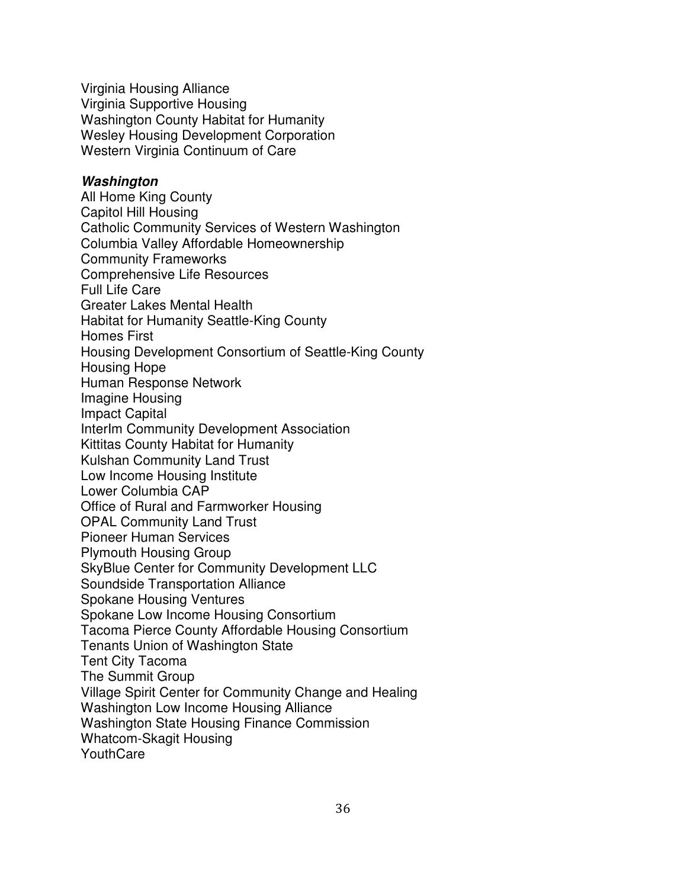Virginia Housing Alliance Virginia Supportive Housing Washington County Habitat for Humanity Wesley Housing Development Corporation Western Virginia Continuum of Care

#### **Washington**

All Home King County Capitol Hill Housing Catholic Community Services of Western Washington Columbia Valley Affordable Homeownership Community Frameworks Comprehensive Life Resources Full Life Care Greater Lakes Mental Health Habitat for Humanity Seattle-King County Homes First Housing Development Consortium of Seattle-King County Housing Hope Human Response Network Imagine Housing Impact Capital InterIm Community Development Association Kittitas County Habitat for Humanity Kulshan Community Land Trust Low Income Housing Institute Lower Columbia CAP Office of Rural and Farmworker Housing OPAL Community Land Trust Pioneer Human Services Plymouth Housing Group SkyBlue Center for Community Development LLC Soundside Transportation Alliance Spokane Housing Ventures Spokane Low Income Housing Consortium Tacoma Pierce County Affordable Housing Consortium Tenants Union of Washington State Tent City Tacoma The Summit Group Village Spirit Center for Community Change and Healing Washington Low Income Housing Alliance Washington State Housing Finance Commission Whatcom-Skagit Housing **YouthCare**